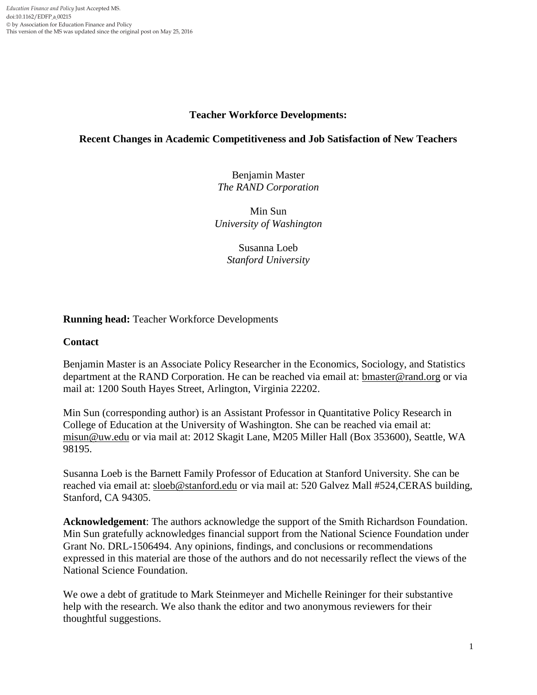## **Teacher Workforce Developments:**

## **Recent Changes in Academic Competitiveness and Job Satisfaction of New Teachers**

Benjamin Master *The RAND Corporation*

Min Sun *University of Washington*

> Susanna Loeb *Stanford University*

## **Running head:** Teacher Workforce Developments

## **Contact**

Benjamin Master is an Associate Policy Researcher in the Economics, Sociology, and Statistics department at the RAND Corporation. He can be reached via email at: [bmaster@rand.org](mailto:bmaster@rand.org) or via mail at: 1200 South Hayes Street, Arlington, Virginia 22202.

Min Sun (corresponding author) is an Assistant Professor in Quantitative Policy Research in College of Education at the University of Washington. She can be reached via email at: [misun@uw.edu](mailto:misun@uw.edu) or via mail at: 2012 Skagit Lane, M205 Miller Hall (Box 353600), Seattle, WA 98195.

Susanna Loeb is the Barnett Family Professor of Education at Stanford University. She can be reached via email at: [sloeb@stanford.edu](mailto:sloeb@stanford.edu) or via mail at: 520 Galvez Mall #524, CERAS building, Stanford, CA 94305.

**Acknowledgement**: The authors acknowledge the support of the Smith Richardson Foundation. Min Sun gratefully acknowledges financial support from the National Science Foundation under Grant No. DRL-1506494. Any opinions, findings, and conclusions or recommendations expressed in this material are those of the authors and do not necessarily reflect the views of the National Science Foundation.

We owe a debt of gratitude to Mark Steinmeyer and Michelle Reininger for their substantive help with the research. We also thank the editor and two anonymous reviewers for their thoughtful suggestions.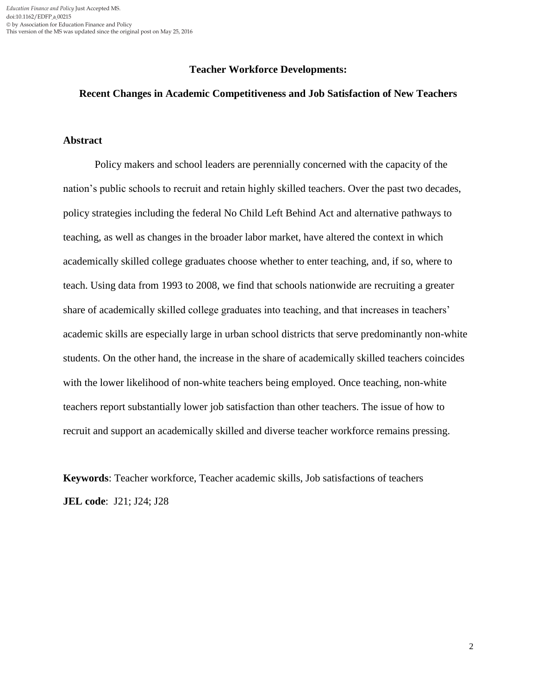#### **Teacher Workforce Developments:**

#### **Recent Changes in Academic Competitiveness and Job Satisfaction of New Teachers**

## **Abstract**

Policy makers and school leaders are perennially concerned with the capacity of the nation's public schools to recruit and retain highly skilled teachers. Over the past two decades, policy strategies including the federal No Child Left Behind Act and alternative pathways to teaching, as well as changes in the broader labor market, have altered the context in which academically skilled college graduates choose whether to enter teaching, and, if so, where to teach. Using data from 1993 to 2008, we find that schools nationwide are recruiting a greater share of academically skilled college graduates into teaching, and that increases in teachers' academic skills are especially large in urban school districts that serve predominantly non-white students. On the other hand, the increase in the share of academically skilled teachers coincides with the lower likelihood of non-white teachers being employed. Once teaching, non-white teachers report substantially lower job satisfaction than other teachers. The issue of how to recruit and support an academically skilled and diverse teacher workforce remains pressing.

**Keywords**: Teacher workforce, Teacher academic skills, Job satisfactions of teachers **JEL code**: J21; J24; J28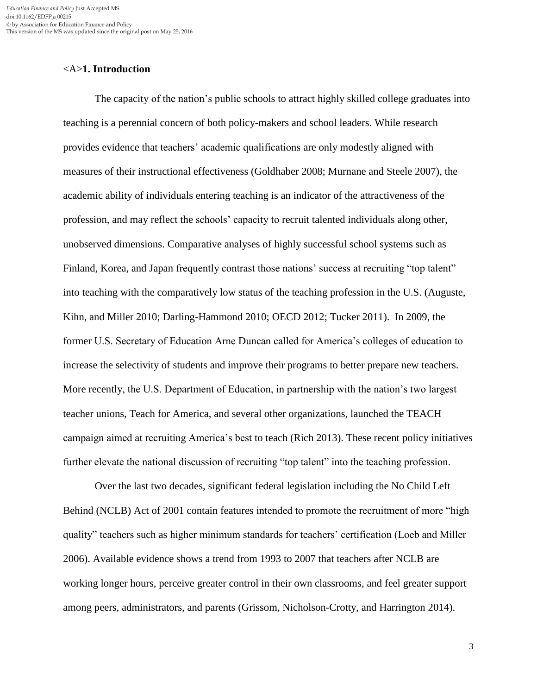#### <A>**1. Introduction**

The capacity of the nation's public schools to attract highly skilled college graduates into teaching is a perennial concern of both policy-makers and school leaders. While research provides evidence that teachers' academic qualifications are only modestly aligned with measures of their instructional effectiveness (Goldhaber 2008; Murnane and Steele 2007), the academic ability of individuals entering teaching is an indicator of the attractiveness of the profession, and may reflect the schools' capacity to recruit talented individuals along other, unobserved dimensions. Comparative analyses of highly successful school systems such as Finland, Korea, and Japan frequently contrast those nations' success at recruiting "top talent" into teaching with the comparatively low status of the teaching profession in the U.S. (Auguste, Kihn, and Miller 2010; Darling-Hammond 2010; OECD 2012; Tucker 2011). In 2009, the former U.S. Secretary of Education Arne Duncan called for America's colleges of education to increase the selectivity of students and improve their programs to better prepare new teachers. More recently, the U.S. Department of Education, in partnership with the nation's two largest teacher unions, Teach for America, and several other organizations, launched the TEACH campaign aimed at recruiting America's best to teach (Rich 2013). These recent policy initiatives further elevate the national discussion of recruiting "top talent" into the teaching profession.

Over the last two decades, significant federal legislation including the No Child Left Behind (NCLB) Act of 2001 contain features intended to promote the recruitment of more "high quality" teachers such as higher minimum standards for teachers' certification (Loeb and Miller 2006). Available evidence shows a trend from 1993 to 2007 that teachers after NCLB are working longer hours, perceive greater control in their own classrooms, and feel greater support among peers, administrators, and parents (Grissom, Nicholson-Crotty, and Harrington 2014).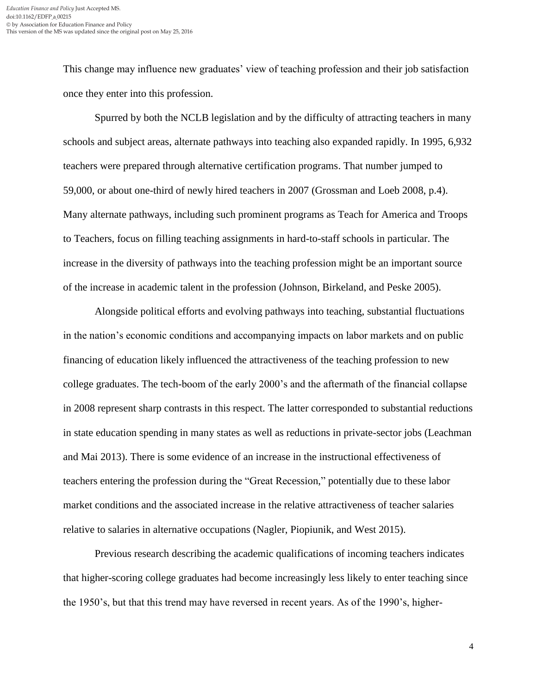This change may influence new graduates' view of teaching profession and their job satisfaction once they enter into this profession.

Spurred by both the NCLB legislation and by the difficulty of attracting teachers in many schools and subject areas, alternate pathways into teaching also expanded rapidly. In 1995, 6,932 teachers were prepared through alternative certification programs. That number jumped to 59,000, or about one-third of newly hired teachers in 2007 (Grossman and Loeb 2008, p.4). Many alternate pathways, including such prominent programs as Teach for America and Troops to Teachers, focus on filling teaching assignments in hard-to-staff schools in particular. The increase in the diversity of pathways into the teaching profession might be an important source of the increase in academic talent in the profession (Johnson, Birkeland, and Peske 2005).

Alongside political efforts and evolving pathways into teaching, substantial fluctuations in the nation's economic conditions and accompanying impacts on labor markets and on public financing of education likely influenced the attractiveness of the teaching profession to new college graduates. The tech-boom of the early 2000's and the aftermath of the financial collapse in 2008 represent sharp contrasts in this respect. The latter corresponded to substantial reductions in state education spending in many states as well as reductions in private-sector jobs (Leachman and Mai 2013). There is some evidence of an increase in the instructional effectiveness of teachers entering the profession during the "Great Recession," potentially due to these labor market conditions and the associated increase in the relative attractiveness of teacher salaries relative to salaries in alternative occupations (Nagler, Piopiunik, and West 2015).

Previous research describing the academic qualifications of incoming teachers indicates that higher-scoring college graduates had become increasingly less likely to enter teaching since the 1950's, but that this trend may have reversed in recent years. As of the 1990's, higher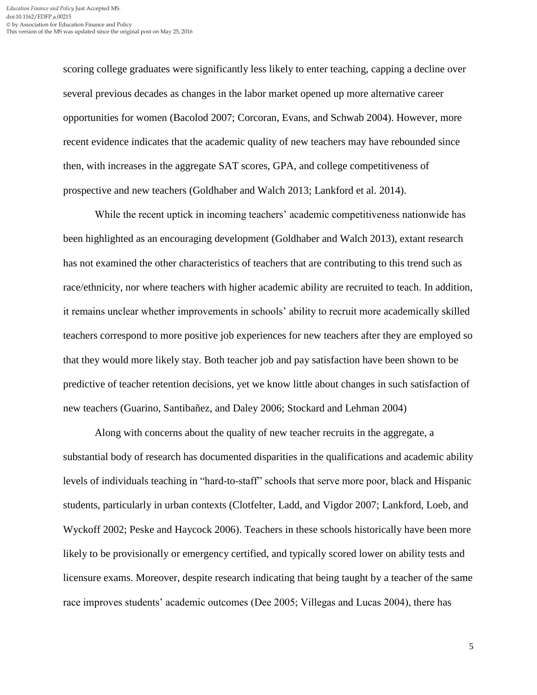scoring college graduates were significantly less likely to enter teaching, capping a decline over several previous decades as changes in the labor market opened up more alternative career opportunities for women (Bacolod 2007; Corcoran, Evans, and Schwab 2004). However, more recent evidence indicates that the academic quality of new teachers may have rebounded since then, with increases in the aggregate SAT scores, GPA, and college competitiveness of prospective and new teachers (Goldhaber and Walch 2013; Lankford et al. 2014).

While the recent uptick in incoming teachers' academic competitiveness nationwide has been highlighted as an encouraging development (Goldhaber and Walch 2013), extant research has not examined the other characteristics of teachers that are contributing to this trend such as race/ethnicity, nor where teachers with higher academic ability are recruited to teach. In addition, it remains unclear whether improvements in schools' ability to recruit more academically skilled teachers correspond to more positive job experiences for new teachers after they are employed so that they would more likely stay. Both teacher job and pay satisfaction have been shown to be predictive of teacher retention decisions, yet we know little about changes in such satisfaction of new teachers (Guarino, Santibañez, and Daley 2006; Stockard and Lehman 2004)

Along with concerns about the quality of new teacher recruits in the aggregate, a substantial body of research has documented disparities in the qualifications and academic ability levels of individuals teaching in "hard-to-staff" schools that serve more poor, black and Hispanic students, particularly in urban contexts (Clotfelter, Ladd, and Vigdor 2007; Lankford, Loeb, and Wyckoff 2002; Peske and Haycock 2006). Teachers in these schools historically have been more likely to be provisionally or emergency certified, and typically scored lower on ability tests and licensure exams. Moreover, despite research indicating that being taught by a teacher of the same race improves students' academic outcomes (Dee 2005; Villegas and Lucas 2004), there has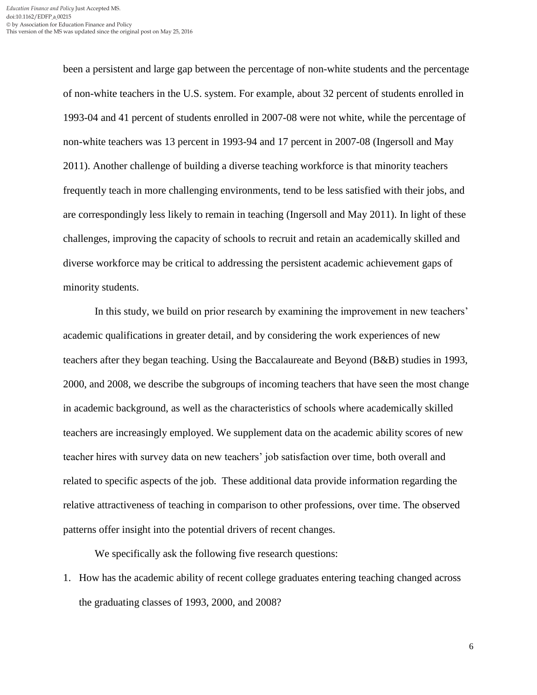been a persistent and large gap between the percentage of non-white students and the percentage of non-white teachers in the U.S. system. For example, about 32 percent of students enrolled in 1993-04 and 41 percent of students enrolled in 2007-08 were not white, while the percentage of non-white teachers was 13 percent in 1993-94 and 17 percent in 2007-08 (Ingersoll and May 2011). Another challenge of building a diverse teaching workforce is that minority teachers frequently teach in more challenging environments, tend to be less satisfied with their jobs, and are correspondingly less likely to remain in teaching (Ingersoll and May 2011). In light of these challenges, improving the capacity of schools to recruit and retain an academically skilled and diverse workforce may be critical to addressing the persistent academic achievement gaps of minority students.

In this study, we build on prior research by examining the improvement in new teachers' academic qualifications in greater detail, and by considering the work experiences of new teachers after they began teaching. Using the Baccalaureate and Beyond (B&B) studies in 1993, 2000, and 2008, we describe the subgroups of incoming teachers that have seen the most change in academic background, as well as the characteristics of schools where academically skilled teachers are increasingly employed. We supplement data on the academic ability scores of new teacher hires with survey data on new teachers' job satisfaction over time, both overall and related to specific aspects of the job. These additional data provide information regarding the relative attractiveness of teaching in comparison to other professions, over time. The observed patterns offer insight into the potential drivers of recent changes.

We specifically ask the following five research questions:

1. How has the academic ability of recent college graduates entering teaching changed across the graduating classes of 1993, 2000, and 2008?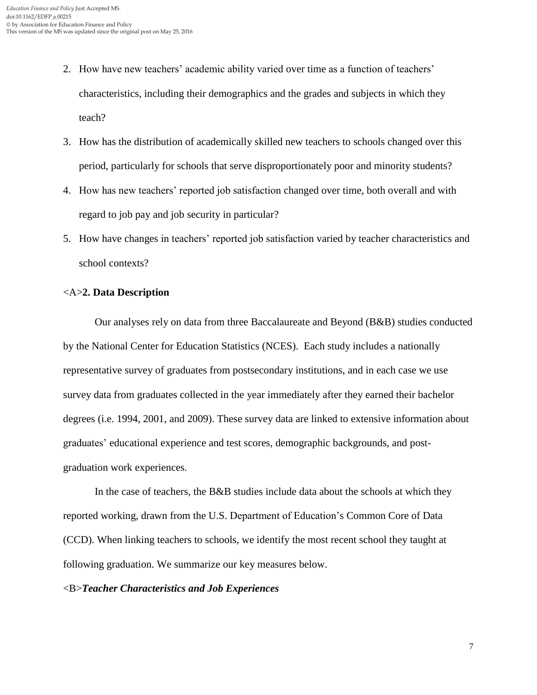- 2. How have new teachers' academic ability varied over time as a function of teachers' characteristics, including their demographics and the grades and subjects in which they teach?
- 3. How has the distribution of academically skilled new teachers to schools changed over this period, particularly for schools that serve disproportionately poor and minority students?
- 4. How has new teachers' reported job satisfaction changed over time, both overall and with regard to job pay and job security in particular?
- 5. How have changes in teachers' reported job satisfaction varied by teacher characteristics and school contexts?

#### <A>**2. Data Description**

Our analyses rely on data from three Baccalaureate and Beyond (B&B) studies conducted by the National Center for Education Statistics (NCES). Each study includes a nationally representative survey of graduates from postsecondary institutions, and in each case we use survey data from graduates collected in the year immediately after they earned their bachelor degrees (i.e. 1994, 2001, and 2009). These survey data are linked to extensive information about graduates' educational experience and test scores, demographic backgrounds, and postgraduation work experiences.

In the case of teachers, the B&B studies include data about the schools at which they reported working, drawn from the U.S. Department of Education's Common Core of Data (CCD). When linking teachers to schools, we identify the most recent school they taught at following graduation. We summarize our key measures below.

#### <B>*Teacher Characteristics and Job Experiences*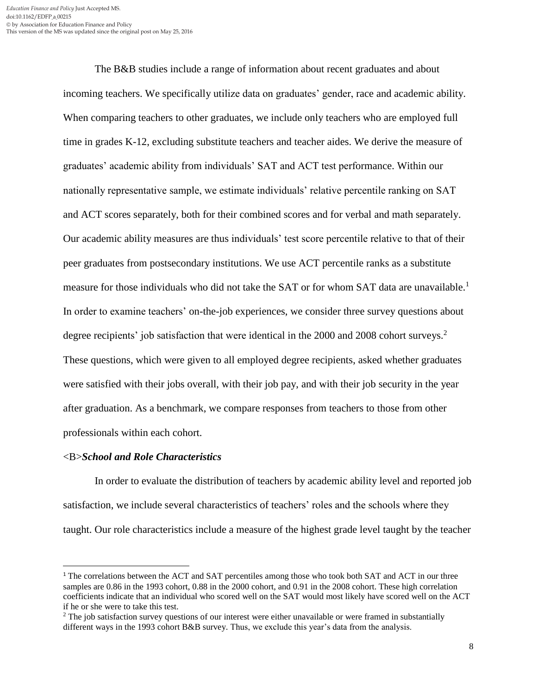The B&B studies include a range of information about recent graduates and about incoming teachers. We specifically utilize data on graduates' gender, race and academic ability. When comparing teachers to other graduates, we include only teachers who are employed full time in grades K-12, excluding substitute teachers and teacher aides. We derive the measure of graduates' academic ability from individuals' SAT and ACT test performance. Within our nationally representative sample, we estimate individuals' relative percentile ranking on SAT and ACT scores separately, both for their combined scores and for verbal and math separately. Our academic ability measures are thus individuals' test score percentile relative to that of their peer graduates from postsecondary institutions. We use ACT percentile ranks as a substitute measure for those individuals who did not take the SAT or for whom SAT data are unavailable.<sup>1</sup> In order to examine teachers' on-the-job experiences, we consider three survey questions about degree recipients' job satisfaction that were identical in the 2000 and 2008 cohort surveys.<sup>2</sup> These questions, which were given to all employed degree recipients, asked whether graduates were satisfied with their jobs overall, with their job pay, and with their job security in the year after graduation. As a benchmark, we compare responses from teachers to those from other professionals within each cohort.

#### <B>*School and Role Characteristics*

l

In order to evaluate the distribution of teachers by academic ability level and reported job satisfaction, we include several characteristics of teachers' roles and the schools where they taught. Our role characteristics include a measure of the highest grade level taught by the teacher

<sup>&</sup>lt;sup>1</sup> The correlations between the ACT and SAT percentiles among those who took both SAT and ACT in our three samples are 0.86 in the 1993 cohort, 0.88 in the 2000 cohort, and 0.91 in the 2008 cohort. These high correlation coefficients indicate that an individual who scored well on the SAT would most likely have scored well on the ACT if he or she were to take this test.

<sup>&</sup>lt;sup>2</sup> The job satisfaction survey questions of our interest were either unavailable or were framed in substantially different ways in the 1993 cohort B&B survey. Thus, we exclude this year's data from the analysis.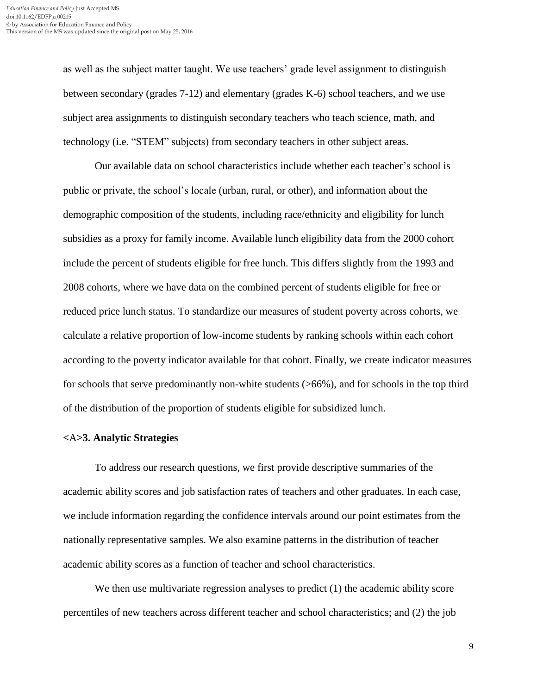as well as the subject matter taught. We use teachers' grade level assignment to distinguish between secondary (grades 7-12) and elementary (grades K-6) school teachers, and we use subject area assignments to distinguish secondary teachers who teach science, math, and technology (i.e. "STEM" subjects) from secondary teachers in other subject areas.

Our available data on school characteristics include whether each teacher's school is public or private, the school's locale (urban, rural, or other), and information about the demographic composition of the students, including race/ethnicity and eligibility for lunch subsidies as a proxy for family income. Available lunch eligibility data from the 2000 cohort include the percent of students eligible for free lunch. This differs slightly from the 1993 and 2008 cohorts, where we have data on the combined percent of students eligible for free or reduced price lunch status. To standardize our measures of student poverty across cohorts, we calculate a relative proportion of low-income students by ranking schools within each cohort according to the poverty indicator available for that cohort. Finally, we create indicator measures for schools that serve predominantly non-white students (>66%), and for schools in the top third of the distribution of the proportion of students eligible for subsidized lunch.

#### **<**A**>3. Analytic Strategies**

To address our research questions, we first provide descriptive summaries of the academic ability scores and job satisfaction rates of teachers and other graduates. In each case, we include information regarding the confidence intervals around our point estimates from the nationally representative samples. We also examine patterns in the distribution of teacher academic ability scores as a function of teacher and school characteristics.

We then use multivariate regression analyses to predict (1) the academic ability score percentiles of new teachers across different teacher and school characteristics; and (2) the job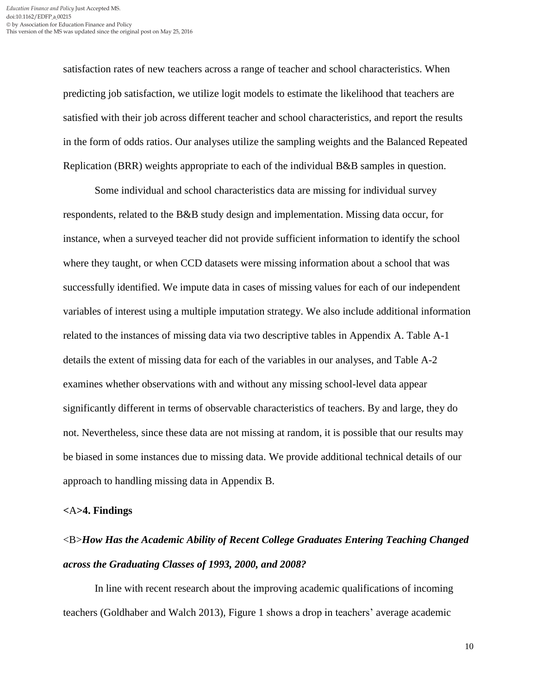satisfaction rates of new teachers across a range of teacher and school characteristics. When predicting job satisfaction, we utilize logit models to estimate the likelihood that teachers are satisfied with their job across different teacher and school characteristics, and report the results in the form of odds ratios. Our analyses utilize the sampling weights and the Balanced Repeated Replication (BRR) weights appropriate to each of the individual B&B samples in question.

Some individual and school characteristics data are missing for individual survey respondents, related to the B&B study design and implementation. Missing data occur, for instance, when a surveyed teacher did not provide sufficient information to identify the school where they taught, or when CCD datasets were missing information about a school that was successfully identified. We impute data in cases of missing values for each of our independent variables of interest using a multiple imputation strategy. We also include additional information related to the instances of missing data via two descriptive tables in Appendix A. Table A-1 details the extent of missing data for each of the variables in our analyses, and Table A-2 examines whether observations with and without any missing school-level data appear significantly different in terms of observable characteristics of teachers. By and large, they do not. Nevertheless, since these data are not missing at random, it is possible that our results may be biased in some instances due to missing data. We provide additional technical details of our approach to handling missing data in Appendix B.

#### **<**A**>4. Findings**

# <B>*How Has the Academic Ability of Recent College Graduates Entering Teaching Changed across the Graduating Classes of 1993, 2000, and 2008?*

In line with recent research about the improving academic qualifications of incoming teachers (Goldhaber and Walch 2013), Figure 1 shows a drop in teachers' average academic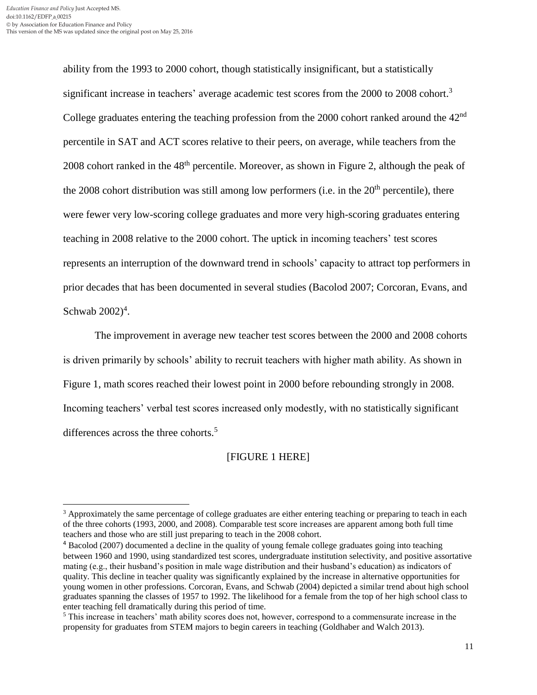$\overline{a}$ 

ability from the 1993 to 2000 cohort, though statistically insignificant, but a statistically significant increase in teachers' average academic test scores from the 2000 to 2008 cohort.<sup>3</sup> College graduates entering the teaching profession from the  $2000$  cohort ranked around the  $42<sup>nd</sup>$ percentile in SAT and ACT scores relative to their peers, on average, while teachers from the 2008 cohort ranked in the 48th percentile. Moreover, as shown in Figure 2, although the peak of the 2008 cohort distribution was still among low performers (i.e. in the  $20<sup>th</sup>$  percentile), there were fewer very low-scoring college graduates and more very high-scoring graduates entering teaching in 2008 relative to the 2000 cohort. The uptick in incoming teachers' test scores represents an interruption of the downward trend in schools' capacity to attract top performers in prior decades that has been documented in several studies (Bacolod 2007; Corcoran, Evans, and Schwab  $2002)^4$ .

The improvement in average new teacher test scores between the 2000 and 2008 cohorts is driven primarily by schools' ability to recruit teachers with higher math ability. As shown in Figure 1, math scores reached their lowest point in 2000 before rebounding strongly in 2008. Incoming teachers' verbal test scores increased only modestly, with no statistically significant differences across the three cohorts.<sup>5</sup>

## [FIGURE 1 HERE]

<sup>&</sup>lt;sup>3</sup> Approximately the same percentage of college graduates are either entering teaching or preparing to teach in each of the three cohorts (1993, 2000, and 2008). Comparable test score increases are apparent among both full time teachers and those who are still just preparing to teach in the 2008 cohort.

<sup>4</sup> Bacolod (2007) documented a decline in the quality of young female college graduates going into teaching between 1960 and 1990, using standardized test scores, undergraduate institution selectivity, and positive assortative mating (e.g., their husband's position in male wage distribution and their husband's education) as indicators of quality. This decline in teacher quality was significantly explained by the increase in alternative opportunities for young women in other professions. Corcoran, Evans, and Schwab (2004) depicted a similar trend about high school graduates spanning the classes of 1957 to 1992. The likelihood for a female from the top of her high school class to enter teaching fell dramatically during this period of time.

<sup>5</sup> This increase in teachers' math ability scores does not, however, correspond to a commensurate increase in the propensity for graduates from STEM majors to begin careers in teaching (Goldhaber and Walch 2013).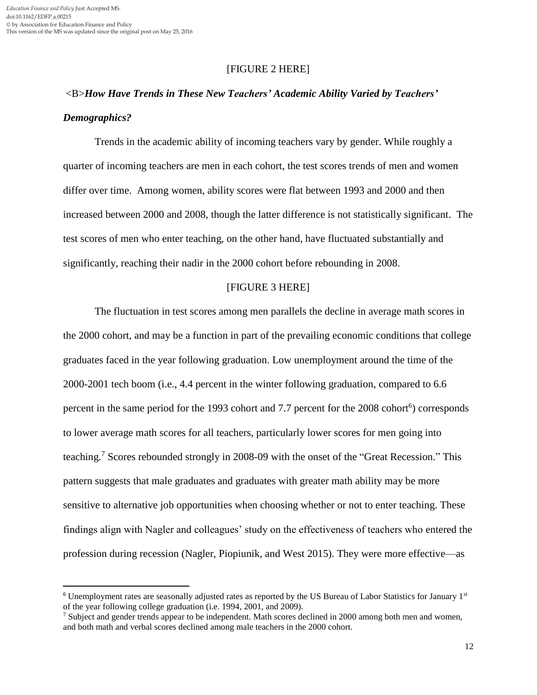$\overline{\phantom{a}}$ 

## [FIGURE 2 HERE]

# <B>*How Have Trends in These New Teachers' Academic Ability Varied by Teachers' Demographics?*

Trends in the academic ability of incoming teachers vary by gender. While roughly a quarter of incoming teachers are men in each cohort, the test scores trends of men and women differ over time. Among women, ability scores were flat between 1993 and 2000 and then increased between 2000 and 2008, though the latter difference is not statistically significant. The test scores of men who enter teaching, on the other hand, have fluctuated substantially and significantly, reaching their nadir in the 2000 cohort before rebounding in 2008.

#### [FIGURE 3 HERE]

The fluctuation in test scores among men parallels the decline in average math scores in the 2000 cohort, and may be a function in part of the prevailing economic conditions that college graduates faced in the year following graduation. Low unemployment around the time of the 2000-2001 tech boom (i.e., 4.4 percent in the winter following graduation, compared to 6.6 percent in the same period for the 1993 cohort and 7.7 percent for the 2008 cohort<sup>6</sup>) corresponds to lower average math scores for all teachers, particularly lower scores for men going into teaching.<sup>7</sup> Scores rebounded strongly in 2008-09 with the onset of the "Great Recession." This pattern suggests that male graduates and graduates with greater math ability may be more sensitive to alternative job opportunities when choosing whether or not to enter teaching. These findings align with Nagler and colleagues' study on the effectiveness of teachers who entered the profession during recession (Nagler, Piopiunik, and West 2015). They were more effective—as

 $6$  Unemployment rates are seasonally adjusted rates as reported by the US Bureau of Labor Statistics for January  $1<sup>st</sup>$ of the year following college graduation (i.e. 1994, 2001, and 2009).

<sup>7</sup> Subject and gender trends appear to be independent. Math scores declined in 2000 among both men and women, and both math and verbal scores declined among male teachers in the 2000 cohort.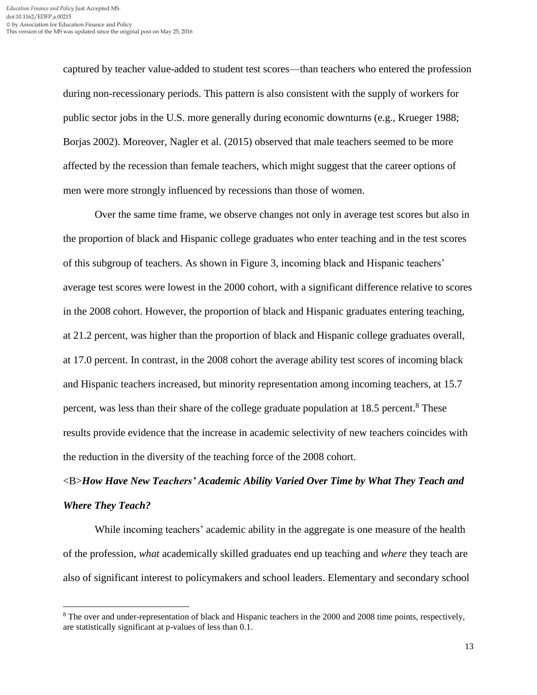$\overline{\phantom{a}}$ 

captured by teacher value-added to student test scores—than teachers who entered the profession during non-recessionary periods. This pattern is also consistent with the supply of workers for public sector jobs in the U.S. more generally during economic downturns (e.g., Krueger 1988; Borjas 2002). Moreover, Nagler et al. (2015) observed that male teachers seemed to be more affected by the recession than female teachers, which might suggest that the career options of men were more strongly influenced by recessions than those of women.

Over the same time frame, we observe changes not only in average test scores but also in the proportion of black and Hispanic college graduates who enter teaching and in the test scores of this subgroup of teachers. As shown in Figure 3, incoming black and Hispanic teachers' average test scores were lowest in the 2000 cohort, with a significant difference relative to scores in the 2008 cohort. However, the proportion of black and Hispanic graduates entering teaching, at 21.2 percent, was higher than the proportion of black and Hispanic college graduates overall, at 17.0 percent. In contrast, in the 2008 cohort the average ability test scores of incoming black and Hispanic teachers increased, but minority representation among incoming teachers, at 15.7 percent, was less than their share of the college graduate population at 18.5 percent.<sup>8</sup> These results provide evidence that the increase in academic selectivity of new teachers coincides with the reduction in the diversity of the teaching force of the 2008 cohort.

# <B>*How Have New Teachers' Academic Ability Varied Over Time by What They Teach and Where They Teach?*

While incoming teachers' academic ability in the aggregate is one measure of the health of the profession, *what* academically skilled graduates end up teaching and *where* they teach are also of significant interest to policymakers and school leaders. Elementary and secondary school

<sup>8</sup> The over and under-representation of black and Hispanic teachers in the 2000 and 2008 time points, respectively, are statistically significant at p-values of less than 0.1.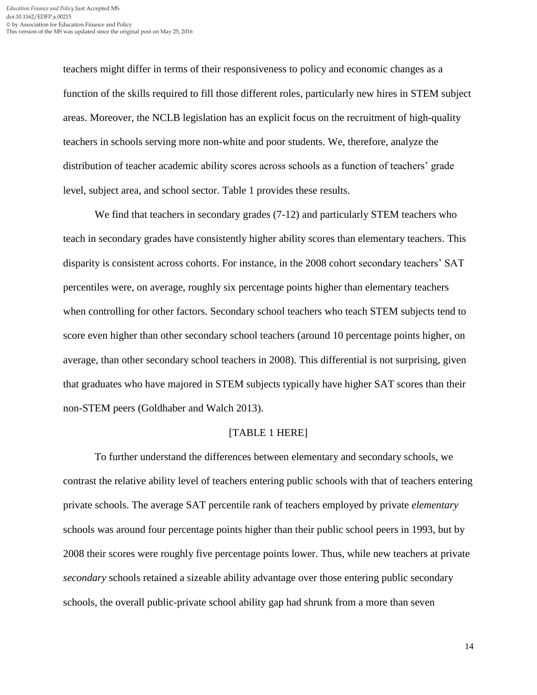teachers might differ in terms of their responsiveness to policy and economic changes as a function of the skills required to fill those different roles, particularly new hires in STEM subject areas. Moreover, the NCLB legislation has an explicit focus on the recruitment of high-quality teachers in schools serving more non-white and poor students. We, therefore, analyze the distribution of teacher academic ability scores across schools as a function of teachers' grade level, subject area, and school sector. Table 1 provides these results.

We find that teachers in secondary grades  $(7-12)$  and particularly STEM teachers who teach in secondary grades have consistently higher ability scores than elementary teachers. This disparity is consistent across cohorts. For instance, in the 2008 cohort secondary teachers' SAT percentiles were, on average, roughly six percentage points higher than elementary teachers when controlling for other factors. Secondary school teachers who teach STEM subjects tend to score even higher than other secondary school teachers (around 10 percentage points higher, on average, than other secondary school teachers in 2008). This differential is not surprising, given that graduates who have majored in STEM subjects typically have higher SAT scores than their non-STEM peers (Goldhaber and Walch 2013).

#### [TABLE 1 HERE]

To further understand the differences between elementary and secondary schools, we contrast the relative ability level of teachers entering public schools with that of teachers entering private schools. The average SAT percentile rank of teachers employed by private *elementary* schools was around four percentage points higher than their public school peers in 1993, but by 2008 their scores were roughly five percentage points lower. Thus, while new teachers at private *secondary* schools retained a sizeable ability advantage over those entering public secondary schools, the overall public-private school ability gap had shrunk from a more than seven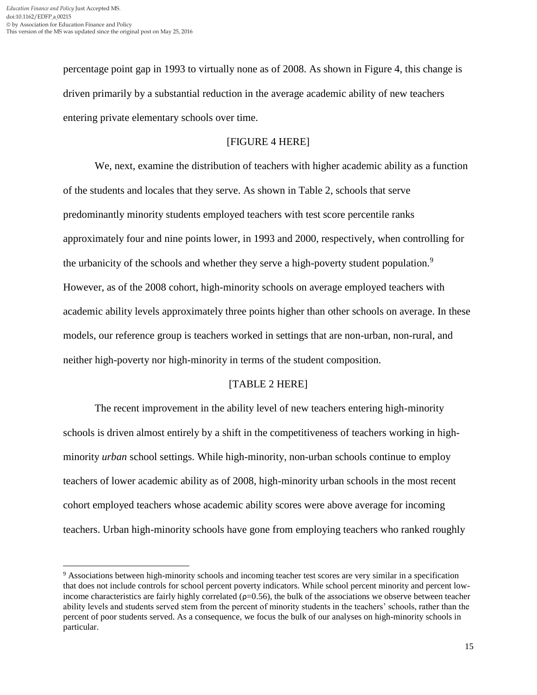l

percentage point gap in 1993 to virtually none as of 2008. As shown in Figure 4, this change is driven primarily by a substantial reduction in the average academic ability of new teachers entering private elementary schools over time.

## [FIGURE 4 HERE]

We, next, examine the distribution of teachers with higher academic ability as a function of the students and locales that they serve. As shown in Table 2, schools that serve predominantly minority students employed teachers with test score percentile ranks approximately four and nine points lower, in 1993 and 2000, respectively, when controlling for the urbanicity of the schools and whether they serve a high-poverty student population.<sup>9</sup> However, as of the 2008 cohort, high-minority schools on average employed teachers with academic ability levels approximately three points higher than other schools on average. In these models, our reference group is teachers worked in settings that are non-urban, non-rural, and neither high-poverty nor high-minority in terms of the student composition.

## [TABLE 2 HERE]

The recent improvement in the ability level of new teachers entering high-minority schools is driven almost entirely by a shift in the competitiveness of teachers working in highminority *urban* school settings. While high-minority, non-urban schools continue to employ teachers of lower academic ability as of 2008, high-minority urban schools in the most recent cohort employed teachers whose academic ability scores were above average for incoming teachers. Urban high-minority schools have gone from employing teachers who ranked roughly

<sup>9</sup> Associations between high-minority schools and incoming teacher test scores are very similar in a specification that does not include controls for school percent poverty indicators. While school percent minority and percent lowincome characteristics are fairly highly correlated  $(p=0.56)$ , the bulk of the associations we observe between teacher ability levels and students served stem from the percent of minority students in the teachers' schools, rather than the percent of poor students served. As a consequence, we focus the bulk of our analyses on high-minority schools in particular.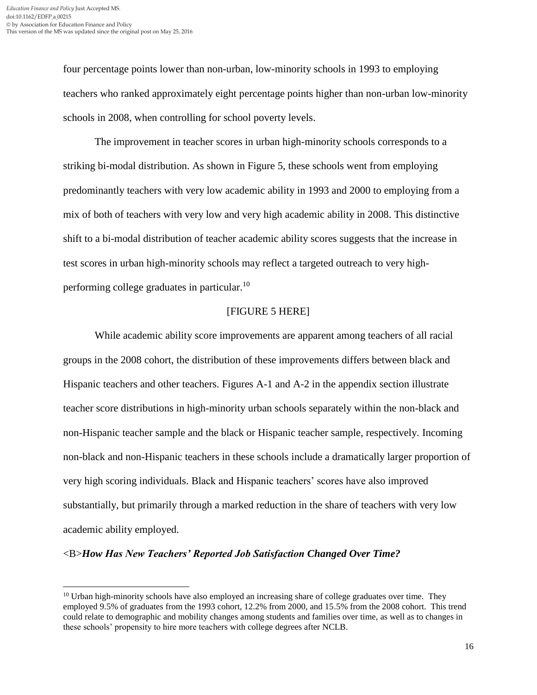$\overline{\phantom{a}}$ 

four percentage points lower than non-urban, low-minority schools in 1993 to employing teachers who ranked approximately eight percentage points higher than non-urban low-minority schools in 2008, when controlling for school poverty levels.

The improvement in teacher scores in urban high-minority schools corresponds to a striking bi-modal distribution. As shown in Figure 5, these schools went from employing predominantly teachers with very low academic ability in 1993 and 2000 to employing from a mix of both of teachers with very low and very high academic ability in 2008. This distinctive shift to a bi-modal distribution of teacher academic ability scores suggests that the increase in test scores in urban high-minority schools may reflect a targeted outreach to very highperforming college graduates in particular.<sup>10</sup>

## [FIGURE 5 HERE]

While academic ability score improvements are apparent among teachers of all racial groups in the 2008 cohort, the distribution of these improvements differs between black and Hispanic teachers and other teachers. Figures A-1 and A-2 in the appendix section illustrate teacher score distributions in high-minority urban schools separately within the non-black and non-Hispanic teacher sample and the black or Hispanic teacher sample, respectively. Incoming non-black and non-Hispanic teachers in these schools include a dramatically larger proportion of very high scoring individuals. Black and Hispanic teachers' scores have also improved substantially, but primarily through a marked reduction in the share of teachers with very low academic ability employed.

#### <B>*How Has New Teachers' Reported Job Satisfaction Changed Over Time?*

 $10$  Urban high-minority schools have also employed an increasing share of college graduates over time. They employed 9.5% of graduates from the 1993 cohort, 12.2% from 2000, and 15.5% from the 2008 cohort. This trend could relate to demographic and mobility changes among students and families over time, as well as to changes in these schools' propensity to hire more teachers with college degrees after NCLB.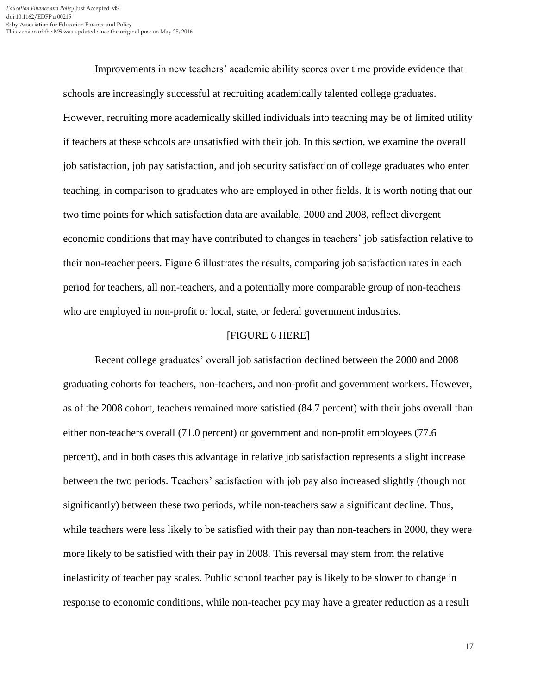Improvements in new teachers' academic ability scores over time provide evidence that schools are increasingly successful at recruiting academically talented college graduates. However, recruiting more academically skilled individuals into teaching may be of limited utility if teachers at these schools are unsatisfied with their job. In this section, we examine the overall job satisfaction, job pay satisfaction, and job security satisfaction of college graduates who enter teaching, in comparison to graduates who are employed in other fields. It is worth noting that our two time points for which satisfaction data are available, 2000 and 2008, reflect divergent economic conditions that may have contributed to changes in teachers' job satisfaction relative to their non-teacher peers. Figure 6 illustrates the results, comparing job satisfaction rates in each period for teachers, all non-teachers, and a potentially more comparable group of non-teachers who are employed in non-profit or local, state, or federal government industries.

#### [FIGURE 6 HERE]

Recent college graduates' overall job satisfaction declined between the 2000 and 2008 graduating cohorts for teachers, non-teachers, and non-profit and government workers. However, as of the 2008 cohort, teachers remained more satisfied (84.7 percent) with their jobs overall than either non-teachers overall (71.0 percent) or government and non-profit employees (77.6 percent), and in both cases this advantage in relative job satisfaction represents a slight increase between the two periods. Teachers' satisfaction with job pay also increased slightly (though not significantly) between these two periods, while non-teachers saw a significant decline. Thus, while teachers were less likely to be satisfied with their pay than non-teachers in 2000, they were more likely to be satisfied with their pay in 2008. This reversal may stem from the relative inelasticity of teacher pay scales. Public school teacher pay is likely to be slower to change in response to economic conditions, while non-teacher pay may have a greater reduction as a result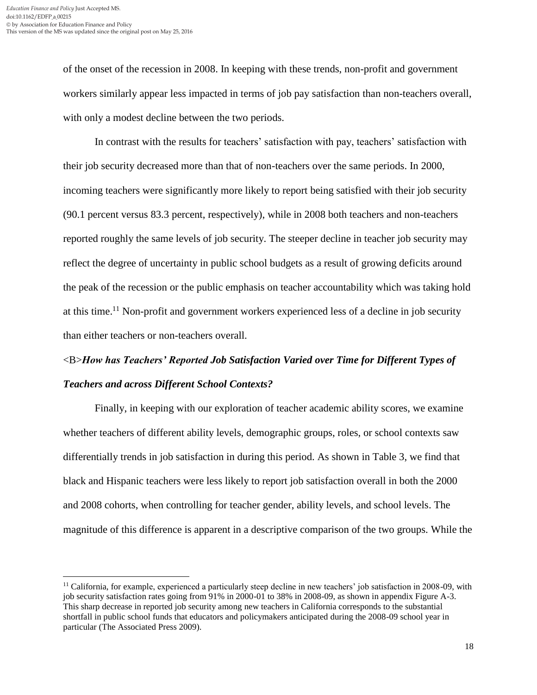of the onset of the recession in 2008. In keeping with these trends, non-profit and government workers similarly appear less impacted in terms of job pay satisfaction than non-teachers overall, with only a modest decline between the two periods.

In contrast with the results for teachers' satisfaction with pay, teachers' satisfaction with their job security decreased more than that of non-teachers over the same periods. In 2000, incoming teachers were significantly more likely to report being satisfied with their job security (90.1 percent versus 83.3 percent, respectively), while in 2008 both teachers and non-teachers reported roughly the same levels of job security. The steeper decline in teacher job security may reflect the degree of uncertainty in public school budgets as a result of growing deficits around the peak of the recession or the public emphasis on teacher accountability which was taking hold at this time.<sup>11</sup> Non-profit and government workers experienced less of a decline in job security than either teachers or non-teachers overall.

# <B>*How has Teachers' Reported Job Satisfaction Varied over Time for Different Types of Teachers and across Different School Contexts?*

Finally, in keeping with our exploration of teacher academic ability scores, we examine whether teachers of different ability levels, demographic groups, roles, or school contexts saw differentially trends in job satisfaction in during this period. As shown in Table 3, we find that black and Hispanic teachers were less likely to report job satisfaction overall in both the 2000 and 2008 cohorts, when controlling for teacher gender, ability levels, and school levels. The magnitude of this difference is apparent in a descriptive comparison of the two groups. While the

 $\overline{a}$  $11$  California, for example, experienced a particularly steep decline in new teachers' job satisfaction in 2008-09, with job security satisfaction rates going from 91% in 2000-01 to 38% in 2008-09, as shown in appendix Figure A-3. This sharp decrease in reported job security among new teachers in California corresponds to the substantial shortfall in public school funds that educators and policymakers anticipated during the 2008-09 school year in particular (The Associated Press 2009).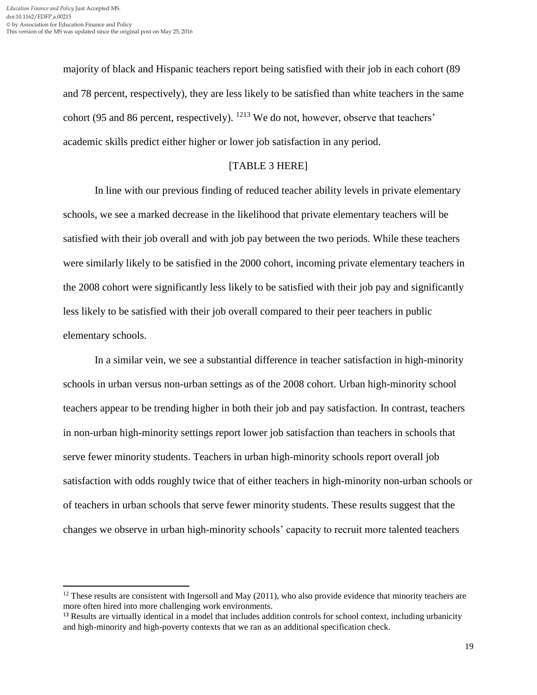$\overline{\phantom{a}}$ 

majority of black and Hispanic teachers report being satisfied with their job in each cohort (89 and 78 percent, respectively), they are less likely to be satisfied than white teachers in the same cohort (95 and 86 percent, respectively). <sup>1213</sup> We do not, however, observe that teachers' academic skills predict either higher or lower job satisfaction in any period.

## [TABLE 3 HERE]

In line with our previous finding of reduced teacher ability levels in private elementary schools, we see a marked decrease in the likelihood that private elementary teachers will be satisfied with their job overall and with job pay between the two periods. While these teachers were similarly likely to be satisfied in the 2000 cohort, incoming private elementary teachers in the 2008 cohort were significantly less likely to be satisfied with their job pay and significantly less likely to be satisfied with their job overall compared to their peer teachers in public elementary schools.

In a similar vein, we see a substantial difference in teacher satisfaction in high-minority schools in urban versus non-urban settings as of the 2008 cohort. Urban high-minority school teachers appear to be trending higher in both their job and pay satisfaction. In contrast, teachers in non-urban high-minority settings report lower job satisfaction than teachers in schools that serve fewer minority students. Teachers in urban high-minority schools report overall job satisfaction with odds roughly twice that of either teachers in high-minority non-urban schools or of teachers in urban schools that serve fewer minority students. These results suggest that the changes we observe in urban high-minority schools' capacity to recruit more talented teachers

 $12$  These results are consistent with Ingersoll and May (2011), who also provide evidence that minority teachers are more often hired into more challenging work environments.

<sup>&</sup>lt;sup>13</sup> Results are virtually identical in a model that includes addition controls for school context, including urbanicity and high-minority and high-poverty contexts that we ran as an additional specification check.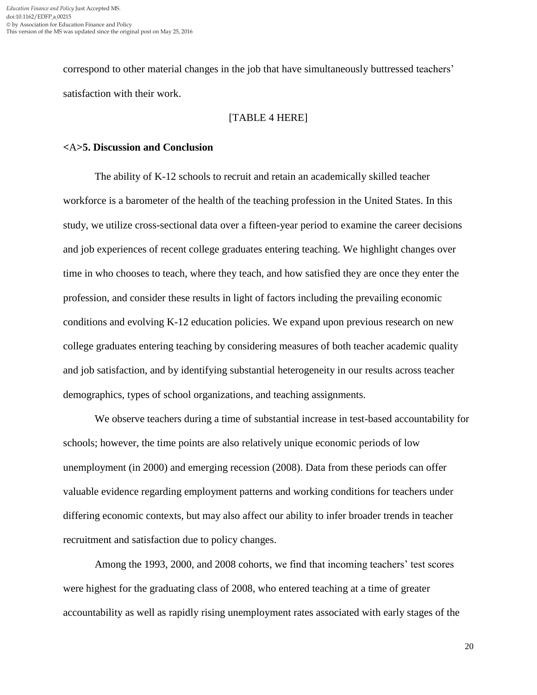correspond to other material changes in the job that have simultaneously buttressed teachers' satisfaction with their work.

### [TABLE 4 HERE]

#### **<**A**>5. Discussion and Conclusion**

The ability of K-12 schools to recruit and retain an academically skilled teacher workforce is a barometer of the health of the teaching profession in the United States. In this study, we utilize cross-sectional data over a fifteen-year period to examine the career decisions and job experiences of recent college graduates entering teaching. We highlight changes over time in who chooses to teach, where they teach, and how satisfied they are once they enter the profession, and consider these results in light of factors including the prevailing economic conditions and evolving K-12 education policies. We expand upon previous research on new college graduates entering teaching by considering measures of both teacher academic quality and job satisfaction, and by identifying substantial heterogeneity in our results across teacher demographics, types of school organizations, and teaching assignments.

We observe teachers during a time of substantial increase in test-based accountability for schools; however, the time points are also relatively unique economic periods of low unemployment (in 2000) and emerging recession (2008). Data from these periods can offer valuable evidence regarding employment patterns and working conditions for teachers under differing economic contexts, but may also affect our ability to infer broader trends in teacher recruitment and satisfaction due to policy changes.

Among the 1993, 2000, and 2008 cohorts, we find that incoming teachers' test scores were highest for the graduating class of 2008, who entered teaching at a time of greater accountability as well as rapidly rising unemployment rates associated with early stages of the

20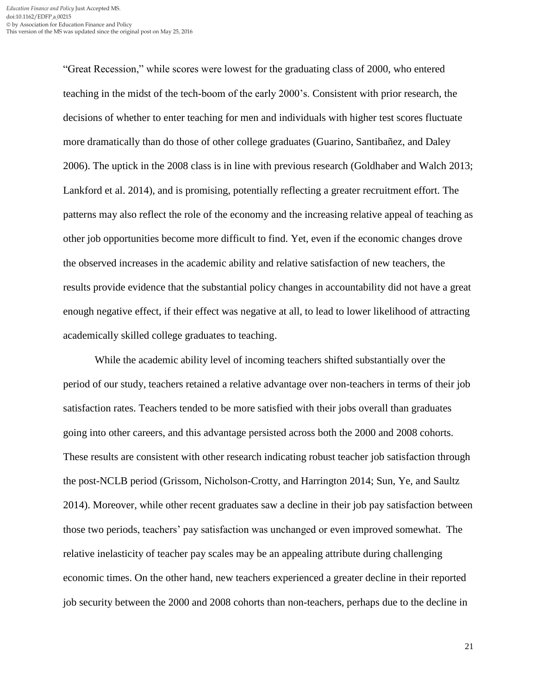"Great Recession," while scores were lowest for the graduating class of 2000, who entered teaching in the midst of the tech-boom of the early 2000's. Consistent with prior research, the decisions of whether to enter teaching for men and individuals with higher test scores fluctuate more dramatically than do those of other college graduates (Guarino, Santibañez, and Daley 2006). The uptick in the 2008 class is in line with previous research (Goldhaber and Walch 2013; Lankford et al. 2014), and is promising, potentially reflecting a greater recruitment effort. The patterns may also reflect the role of the economy and the increasing relative appeal of teaching as other job opportunities become more difficult to find. Yet, even if the economic changes drove the observed increases in the academic ability and relative satisfaction of new teachers, the results provide evidence that the substantial policy changes in accountability did not have a great enough negative effect, if their effect was negative at all, to lead to lower likelihood of attracting academically skilled college graduates to teaching.

While the academic ability level of incoming teachers shifted substantially over the period of our study, teachers retained a relative advantage over non-teachers in terms of their job satisfaction rates. Teachers tended to be more satisfied with their jobs overall than graduates going into other careers, and this advantage persisted across both the 2000 and 2008 cohorts. These results are consistent with other research indicating robust teacher job satisfaction through the post-NCLB period (Grissom, Nicholson-Crotty, and Harrington 2014; Sun, Ye, and Saultz 2014). Moreover, while other recent graduates saw a decline in their job pay satisfaction between those two periods, teachers' pay satisfaction was unchanged or even improved somewhat. The relative inelasticity of teacher pay scales may be an appealing attribute during challenging economic times. On the other hand, new teachers experienced a greater decline in their reported job security between the 2000 and 2008 cohorts than non-teachers, perhaps due to the decline in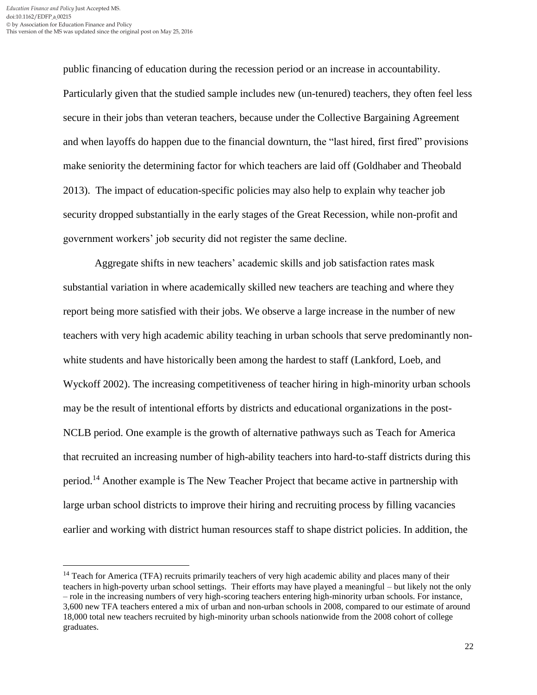l

public financing of education during the recession period or an increase in accountability. Particularly given that the studied sample includes new (un-tenured) teachers, they often feel less secure in their jobs than veteran teachers, because under the Collective Bargaining Agreement and when layoffs do happen due to the financial downturn, the "last hired, first fired" provisions make seniority the determining factor for which teachers are laid off (Goldhaber and Theobald 2013). The impact of education-specific policies may also help to explain why teacher job security dropped substantially in the early stages of the Great Recession, while non-profit and government workers' job security did not register the same decline.

Aggregate shifts in new teachers' academic skills and job satisfaction rates mask substantial variation in where academically skilled new teachers are teaching and where they report being more satisfied with their jobs. We observe a large increase in the number of new teachers with very high academic ability teaching in urban schools that serve predominantly nonwhite students and have historically been among the hardest to staff (Lankford, Loeb, and Wyckoff 2002). The increasing competitiveness of teacher hiring in high-minority urban schools may be the result of intentional efforts by districts and educational organizations in the post-NCLB period. One example is the growth of alternative pathways such as Teach for America that recruited an increasing number of high-ability teachers into hard-to-staff districts during this period.<sup>14</sup> Another example is The New Teacher Project that became active in partnership with large urban school districts to improve their hiring and recruiting process by filling vacancies earlier and working with district human resources staff to shape district policies. In addition, the

<sup>&</sup>lt;sup>14</sup> Teach for America (TFA) recruits primarily teachers of very high academic ability and places many of their teachers in high-poverty urban school settings. Their efforts may have played a meaningful – but likely not the only – role in the increasing numbers of very high-scoring teachers entering high-minority urban schools. For instance, 3,600 new TFA teachers entered a mix of urban and non-urban schools in 2008, compared to our estimate of around 18,000 total new teachers recruited by high-minority urban schools nationwide from the 2008 cohort of college graduates.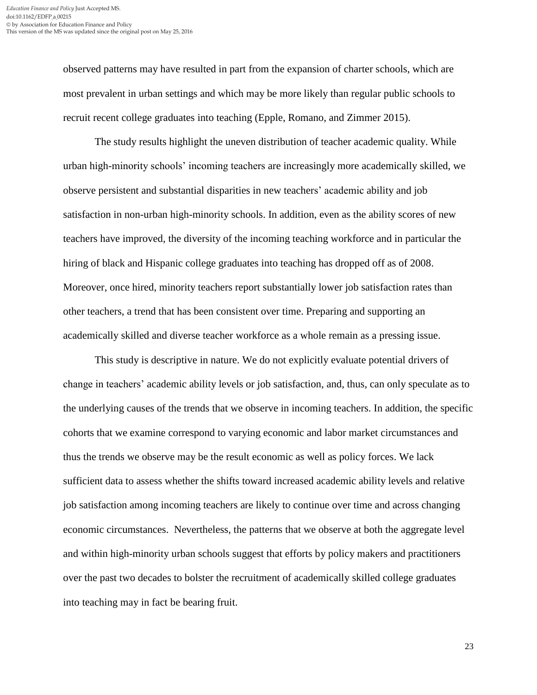observed patterns may have resulted in part from the expansion of charter schools, which are most prevalent in urban settings and which may be more likely than regular public schools to recruit recent college graduates into teaching (Epple, Romano, and Zimmer 2015).

The study results highlight the uneven distribution of teacher academic quality. While urban high-minority schools' incoming teachers are increasingly more academically skilled, we observe persistent and substantial disparities in new teachers' academic ability and job satisfaction in non-urban high-minority schools. In addition, even as the ability scores of new teachers have improved, the diversity of the incoming teaching workforce and in particular the hiring of black and Hispanic college graduates into teaching has dropped off as of 2008. Moreover, once hired, minority teachers report substantially lower job satisfaction rates than other teachers, a trend that has been consistent over time. Preparing and supporting an academically skilled and diverse teacher workforce as a whole remain as a pressing issue.

This study is descriptive in nature. We do not explicitly evaluate potential drivers of change in teachers' academic ability levels or job satisfaction, and, thus, can only speculate as to the underlying causes of the trends that we observe in incoming teachers. In addition, the specific cohorts that we examine correspond to varying economic and labor market circumstances and thus the trends we observe may be the result economic as well as policy forces. We lack sufficient data to assess whether the shifts toward increased academic ability levels and relative job satisfaction among incoming teachers are likely to continue over time and across changing economic circumstances. Nevertheless, the patterns that we observe at both the aggregate level and within high-minority urban schools suggest that efforts by policy makers and practitioners over the past two decades to bolster the recruitment of academically skilled college graduates into teaching may in fact be bearing fruit.

23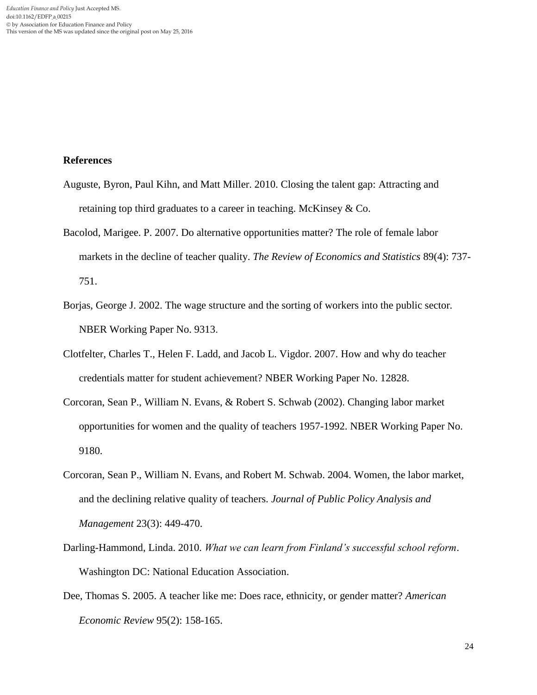### **References**

- Auguste, Byron, Paul Kihn, and Matt Miller. 2010. Closing the talent gap: Attracting and retaining top third graduates to a career in teaching. McKinsey & Co.
- Bacolod, Marigee. P. 2007. Do alternative opportunities matter? The role of female labor markets in the decline of teacher quality. *The Review of Economics and Statistics* 89(4): 737- 751.
- Borjas, George J. 2002. The wage structure and the sorting of workers into the public sector*.* NBER Working Paper No. 9313.
- Clotfelter, Charles T., Helen F. Ladd, and Jacob L. Vigdor. 2007. How and why do teacher credentials matter for student achievement? NBER Working Paper No. 12828.
- Corcoran, Sean P., William N. Evans, & Robert S. Schwab (2002). Changing labor market opportunities for women and the quality of teachers 1957-1992. NBER Working Paper No. 9180.
- Corcoran, Sean P., William N. Evans, and Robert M. Schwab. 2004. Women, the labor market, and the declining relative quality of teachers. *Journal of Public Policy Analysis and Management* 23(3): 449-470.
- Darling-Hammond, Linda. 2010. *What we can learn from Finland's successful school reform*. Washington DC: National Education Association.
- Dee, Thomas S. 2005. A teacher like me: Does race, ethnicity, or gender matter? *American Economic Review* 95(2): 158-165.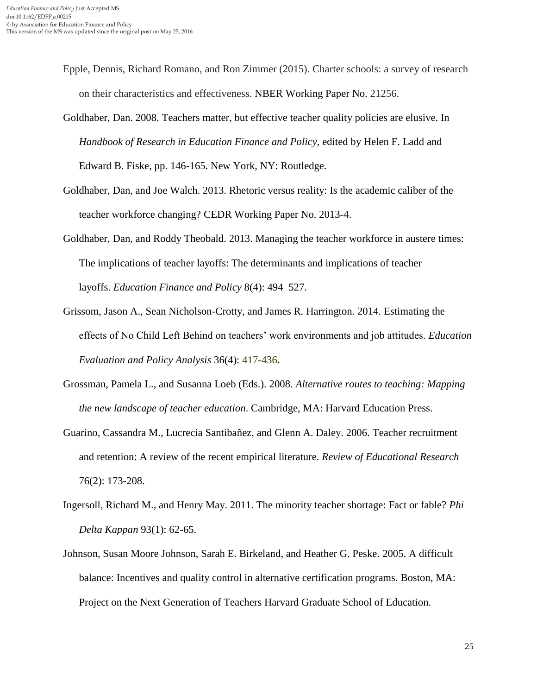- Epple, Dennis, Richard Romano, and Ron Zimmer (2015). Charter schools: a survey of research on their characteristics and effectiveness. NBER Working Paper No. 21256.
- Goldhaber, Dan. 2008. Teachers matter, but effective teacher quality policies are elusive. In *Handbook of Research in Education Finance and Policy*, edited by Helen F. Ladd and Edward B. Fiske, pp. 146-165. New York, NY: Routledge.
- Goldhaber, Dan, and Joe Walch. 2013. Rhetoric versus reality: Is the academic caliber of the teacher workforce changing? CEDR Working Paper No. 2013-4.
- Goldhaber, Dan, and Roddy Theobald. 2013. Managing the teacher workforce in austere times: The implications of teacher layoffs: The determinants and implications of teacher layoffs. *Education Finance and Policy* 8(4): 494–527.
- Grissom, Jason A., Sean Nicholson-Crotty, and James R. Harrington. 2014. Estimating the effects of No Child Left Behind on teachers' work environments and job attitudes. *Education Evaluation and Policy Analysis* 36(4): 417-436**.**
- Grossman, Pamela L., and Susanna Loeb (Eds.). 2008. *Alternative routes to teaching: Mapping the new landscape of teacher education*. Cambridge, MA: Harvard Education Press.
- Guarino, Cassandra M., Lucrecia Santibañez, and Glenn A. Daley. 2006. Teacher recruitment and retention: A review of the recent empirical literature. *Review of Educational Research* 76(2): 173-208.
- Ingersoll, Richard M., and Henry May. 2011. The minority teacher shortage: Fact or fable? *Phi Delta Kappan* 93(1): 62-65.
- Johnson, Susan Moore Johnson, Sarah E. Birkeland, and Heather G. Peske. 2005. A difficult balance: Incentives and quality control in alternative certification programs. Boston, MA: Project on the Next Generation of Teachers Harvard Graduate School of Education.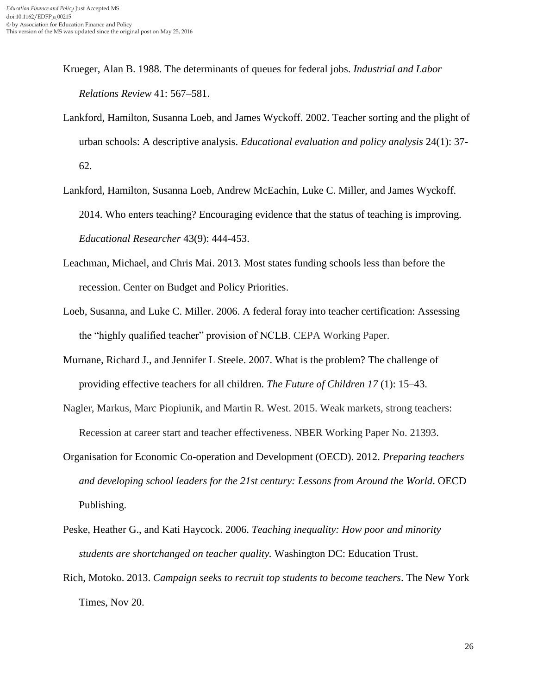- Krueger, Alan B. 1988. The determinants of queues for federal jobs. *Industrial and Labor Relations Review* 41: 567–581.
- Lankford, Hamilton, Susanna Loeb, and James Wyckoff. 2002. Teacher sorting and the plight of urban schools: A descriptive analysis. *Educational evaluation and policy analysis* 24(1): 37- 62.
- Lankford, Hamilton, Susanna Loeb, Andrew McEachin, Luke C. Miller, and James Wyckoff. 2014. Who enters teaching? Encouraging evidence that the status of teaching is improving. *Educational Researcher* 43(9): 444-453.
- Leachman, Michael, and Chris Mai. 2013. Most states funding schools less than before the recession. Center on Budget and Policy Priorities.
- Loeb, Susanna, and Luke C. Miller. 2006. A federal foray into teacher certification: Assessing the "highly qualified teacher" provision of NCLB. CEPA Working Paper.
- Murnane, Richard J., and Jennifer L Steele. 2007. What is the problem? The challenge of providing effective teachers for all children. *The Future of Children 17* (1): 15–43.
- Nagler, Markus, Marc Piopiunik, and Martin R. West. 2015. Weak markets, strong teachers: Recession at career start and teacher effectiveness. NBER Working Paper No. 21393.
- Organisation for Economic Co-operation and Development (OECD). 2012. *Preparing teachers and developing school leaders for the 21st century: Lessons from Around the World*. OECD Publishing.
- Peske, Heather G., and Kati Haycock. 2006. *Teaching inequality: How poor and minority students are shortchanged on teacher quality.* Washington DC: Education Trust.
- Rich, Motoko. 2013. *Campaign seeks to recruit top students to become teachers*. The New York Times, Nov 20.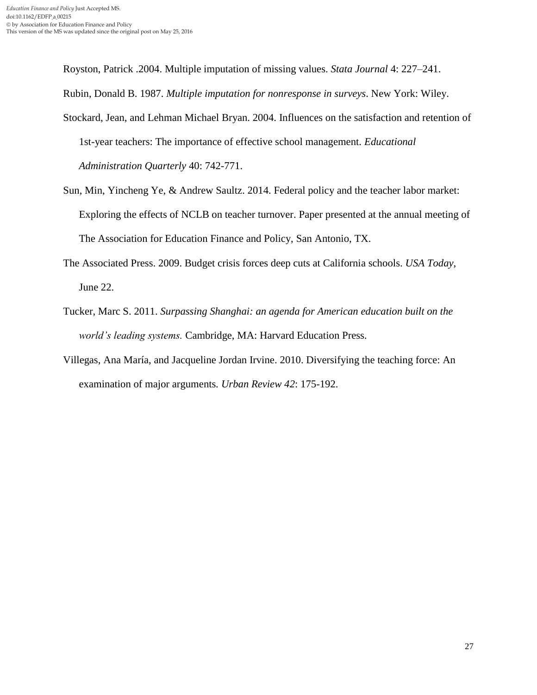Royston, Patrick .2004. Multiple imputation of missing values. *Stata Journal* 4: 227–241. Rubin, Donald B. 1987. *Multiple imputation for nonresponse in surveys*. New York: Wiley.

- Stockard, Jean, and Lehman Michael Bryan. 2004. Influences on the satisfaction and retention of 1st-year teachers: The importance of effective school management. *Educational Administration Quarterly* 40: 742-771.
- Sun, Min, Yincheng Ye, & Andrew Saultz. 2014. Federal policy and the teacher labor market: Exploring the effects of NCLB on teacher turnover. Paper presented at the annual meeting of The Association for Education Finance and Policy, San Antonio, TX.
- The Associated Press. 2009. Budget crisis forces deep cuts at California schools. *USA Today*, June 22.
- Tucker, Marc S. 2011. *Surpassing Shanghai: an agenda for American education built on the world's leading systems.* Cambridge, MA: Harvard Education Press.
- Villegas, Ana María, and Jacqueline Jordan Irvine. 2010. Diversifying the teaching force: An examination of major arguments*. Urban Review 42*: 175-192.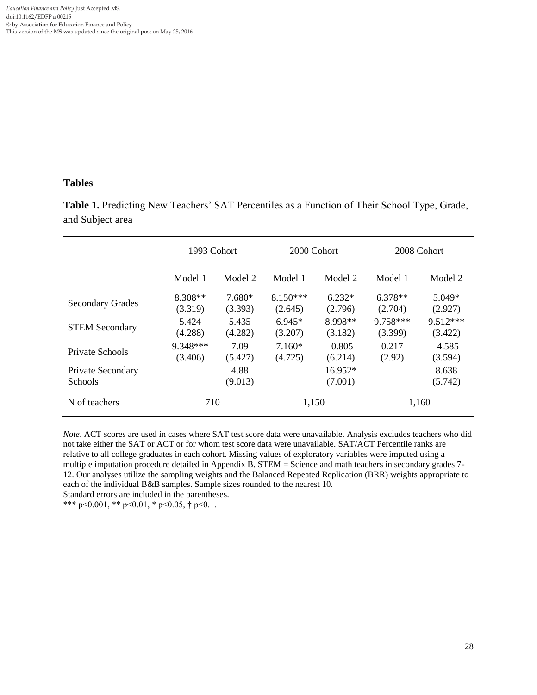## **Tables**

**Table 1.** Predicting New Teachers' SAT Percentiles as a Function of Their School Type, Grade, and Subject area

|                                     | 1993 Cohort          |                     | 2000 Cohort                                |                                              | 2008 Cohort         |                       |  |
|-------------------------------------|----------------------|---------------------|--------------------------------------------|----------------------------------------------|---------------------|-----------------------|--|
|                                     | Model 1              | Model 2             | Model 1<br>Model 2                         |                                              | Model 1<br>Model 2  |                       |  |
| <b>Secondary Grades</b>             | $8.308**$<br>(3.319) | $7.680*$<br>(3.393) |                                            | $8.150***$<br>$6.232*$<br>(2.796)<br>(2.645) |                     | $5.049*$<br>(2.927)   |  |
| <b>STEM Secondary</b>               | 5.424<br>(4.288)     | 5.435<br>(4.282)    | 8.998**<br>$6.945*$<br>(3.207)<br>(3.182)  |                                              | 9.758***<br>(3.399) | $9.512***$<br>(3.422) |  |
| Private Schools                     | 9.348***<br>(3.406)  | 7.09<br>(5.427)     | $-0.805$<br>$7.160*$<br>(4.725)<br>(6.214) |                                              | 0.217<br>(2.92)     | $-4.585$<br>(3.594)   |  |
| Private Secondary<br><b>Schools</b> |                      | 4.88<br>(9.013)     |                                            | $16.952*$<br>(7.001)                         |                     | 8.638<br>(5.742)      |  |
| N of teachers                       | 710                  |                     | 1,150                                      |                                              | 1,160               |                       |  |

*Note*. ACT scores are used in cases where SAT test score data were unavailable. Analysis excludes teachers who did not take either the SAT or ACT or for whom test score data were unavailable. SAT/ACT Percentile ranks are relative to all college graduates in each cohort. Missing values of exploratory variables were imputed using a multiple imputation procedure detailed in Appendix B. STEM = Science and math teachers in secondary grades 7- 12. Our analyses utilize the sampling weights and the Balanced Repeated Replication (BRR) weights appropriate to each of the individual B&B samples. Sample sizes rounded to the nearest 10.

Standard errors are included in the parentheses.

\*\*\* p<0.001, \*\* p<0.01, \* p<0.05,  $\dagger$  p<0.1.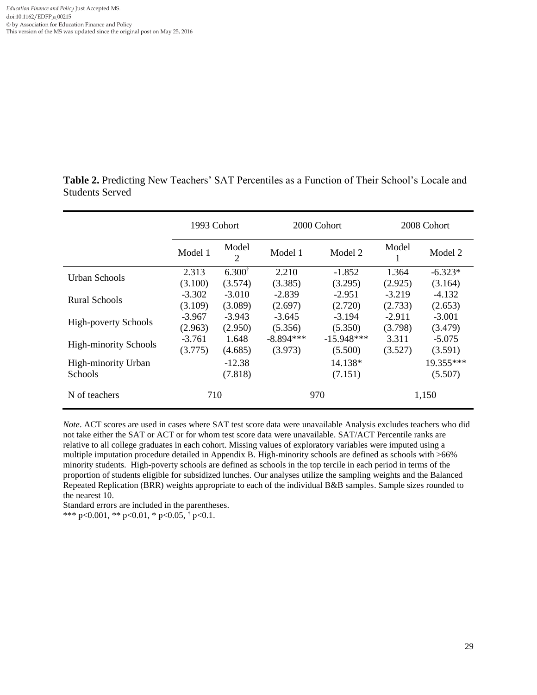Table 2. Predicting New Teachers' SAT Percentiles as a Function of Their School's Locale and Students Served

|                              | 1993 Cohort<br>Model<br>Model 1<br>$\overline{2}$ |                   |             | 2000 Cohort  | 2008 Cohort |           |  |
|------------------------------|---------------------------------------------------|-------------------|-------------|--------------|-------------|-----------|--|
|                              |                                                   |                   | Model 1     | Model 2      |             | Model 2   |  |
|                              | 2.313                                             | $6.300^{\dagger}$ | 2.210       | $-1.852$     | 1.364       | $-6.323*$ |  |
| Urban Schools                | (3.100)                                           | (3.574)           | (3.385)     | (3.295)      | (2.925)     | (3.164)   |  |
| Rural Schools                | $-3.302$                                          | $-3.010$          | $-2.839$    | $-2.951$     | $-3.219$    | $-4.132$  |  |
|                              | (3.109)                                           | (3.089)           | (2.697)     | (2.720)      | (2.733)     | (2.653)   |  |
| <b>High-poverty Schools</b>  | $-3.967$                                          | $-3.943$          | $-3.645$    | $-3.194$     | $-2.911$    | $-3.001$  |  |
|                              | (2.963)                                           | (2.950)           | (5.356)     | (5.350)      | (3.798)     | (3.479)   |  |
|                              | $-3.761$                                          | 1.648             | $-8.894***$ | $-15.948***$ | 3.311       | $-5.075$  |  |
| <b>High-minority Schools</b> | (3.775)                                           | (4.685)           | (3.973)     | (5.500)      | (3.527)     | (3.591)   |  |
| High-minority Urban          | $-12.38$                                          |                   |             | 14.138*      | 19.355***   |           |  |
| <b>Schools</b>               |                                                   | (7.818)           |             | (7.151)      |             | (5.507)   |  |
| N of teachers                | 710                                               |                   |             | 970          | 1,150       |           |  |

*Note*. ACT scores are used in cases where SAT test score data were unavailable Analysis excludes teachers who did not take either the SAT or ACT or for whom test score data were unavailable. SAT/ACT Percentile ranks are relative to all college graduates in each cohort. Missing values of exploratory variables were imputed using a multiple imputation procedure detailed in Appendix B. High-minority schools are defined as schools with >66% minority students. High-poverty schools are defined as schools in the top tercile in each period in terms of the proportion of students eligible for subsidized lunches. Our analyses utilize the sampling weights and the Balanced Repeated Replication (BRR) weights appropriate to each of the individual B&B samples. Sample sizes rounded to the nearest 10.

Standard errors are included in the parentheses. \*\*\* p<0.001, \*\* p<0.01, \* p<0.05,  $\frac{1}{7}$  p<0.1.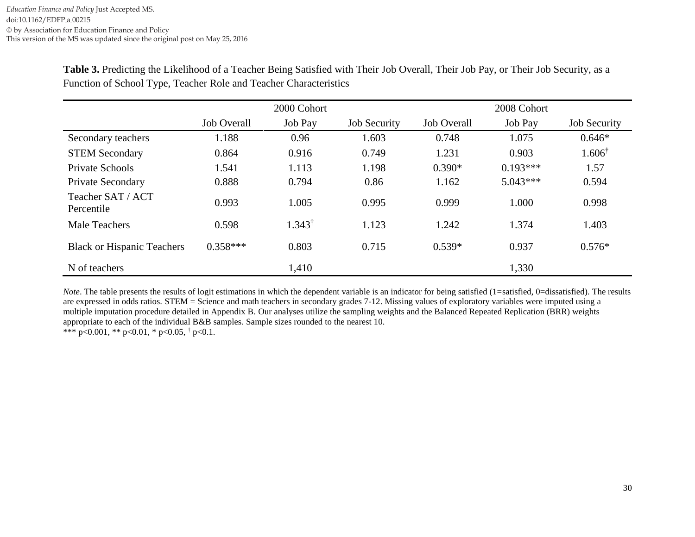|                                   | 2000 Cohort        |                   |                     | 2008 Cohort        |            |                     |  |
|-----------------------------------|--------------------|-------------------|---------------------|--------------------|------------|---------------------|--|
|                                   | <b>Job Overall</b> | Job Pay           | <b>Job Security</b> | <b>Job Overall</b> | Job Pay    | <b>Job Security</b> |  |
| Secondary teachers                | 1.188              | 0.96              | 1.603               | 0.748              | 1.075      | $0.646*$            |  |
| <b>STEM Secondary</b>             | 0.864              | 0.916             | 0.749               | 1.231              | 0.903      | $1.606^{\dagger}$   |  |
| Private Schools                   | 1.541              | 1.113             | 1.198               | $0.390*$           | $0.193***$ | 1.57                |  |
| Private Secondary                 | 0.888              | 0.794             | 0.86                | 1.162              | $5.043***$ | 0.594               |  |
| Teacher SAT / ACT<br>Percentile   | 0.993              | 1.005             | 0.995               | 0.999              | 1.000      | 0.998               |  |
| <b>Male Teachers</b>              | 0.598              | $1.343^{\dagger}$ | 1.123               | 1.242              | 1.374      | 1.403               |  |
| <b>Black or Hispanic Teachers</b> | $0.358***$         | 0.803             | 0.715               | $0.539*$           | 0.937      | $0.576*$            |  |
| N of teachers                     |                    | 1,410             |                     |                    | 1,330      |                     |  |

**Table 3.** Predicting the Likelihood of a Teacher Being Satisfied with Their Job Overall, Their Job Pay, or Their Job Security, as a Function of School Type, Teacher Role and Teacher Characteristics

*Note*. The table presents the results of logit estimations in which the dependent variable is an indicator for being satisfied (1=satisfied, 0=dissatisfied). The results are expressed in odds ratios. STEM = Science and math teachers in secondary grades 7-12. Missing values of exploratory variables were imputed using a multiple imputation procedure detailed in Appendix B. Our analyses utilize the sampling weights and the Balanced Repeated Replication (BRR) weights appropriate to each of the individual B&B samples. Sample sizes rounded to the nearest 10. \*\*\* p<0.001, \*\* p<0.01, \* p<0.05,  $\dagger$  p<0.1.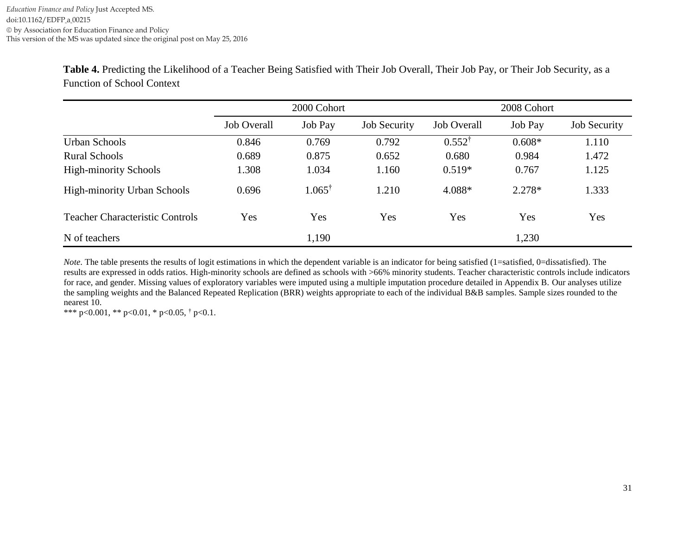| Table 4. Predicting the Likelihood of a Teacher Being Satisfied with Their Job Overall, Their Job Pay, or Their Job Security, as a |  |
|------------------------------------------------------------------------------------------------------------------------------------|--|
| <b>Function of School Context</b>                                                                                                  |  |

|                                        | 2000 Cohort        |                   |                     | 2008 Cohort        |          |                     |  |
|----------------------------------------|--------------------|-------------------|---------------------|--------------------|----------|---------------------|--|
|                                        | <b>Job Overall</b> | Job Pay           | <b>Job Security</b> | <b>Job Overall</b> | Job Pay  | <b>Job Security</b> |  |
| <b>Urban Schools</b>                   | 0.846              | 0.769             | 0.792               | $0.552^{\dagger}$  | $0.608*$ | 1.110               |  |
| <b>Rural Schools</b>                   | 0.689              | 0.875             | 0.652               | 0.680              | 0.984    | 1.472               |  |
| <b>High-minority Schools</b>           | 1.308              | 1.034             | 1.160               | $0.519*$           | 0.767    | 1.125               |  |
| <b>High-minority Urban Schools</b>     | 0.696              | $1.065^{\dagger}$ | 1.210               | 4.088*             | $2.278*$ | 1.333               |  |
| <b>Teacher Characteristic Controls</b> | Yes                | Yes               | Yes                 | Yes                | Yes      | Yes                 |  |
| N of teachers                          |                    | 1,190             |                     |                    | 1,230    |                     |  |

*Note*. The table presents the results of logit estimations in which the dependent variable is an indicator for being satisfied (1=satisfied, 0=dissatisfied). The results are expressed in odds ratios. High-minority schools are defined as schools with >66% minority students. Teacher characteristic controls include indicators for race, and gender. Missing values of exploratory variables were imputed using a multiple imputation procedure detailed in Appendix B. Our analyses utilize the sampling weights and the Balanced Repeated Replication (BRR) weights appropriate to each of the individual B&B samples. Sample sizes rounded to the nearest 10.

\*\*\* p<0.001, \*\* p<0.01, \* p<0.05,  $\dagger$  p<0.1.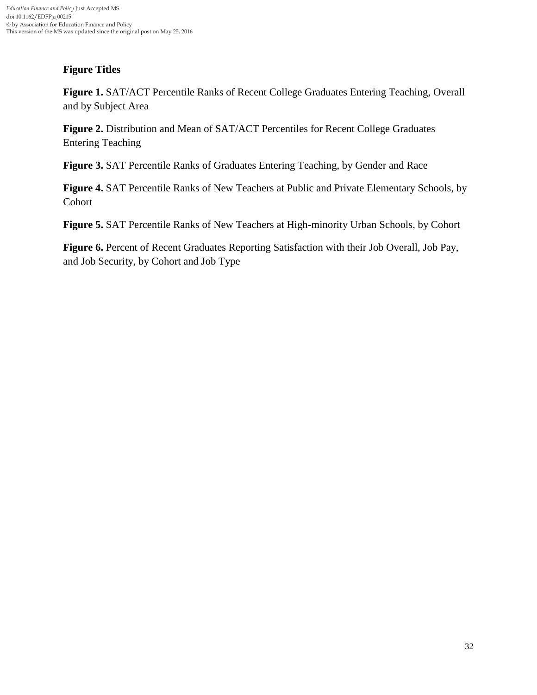## **Figure Titles**

**Figure 1.** SAT/ACT Percentile Ranks of Recent College Graduates Entering Teaching, Overall and by Subject Area

**Figure 2.** Distribution and Mean of SAT/ACT Percentiles for Recent College Graduates Entering Teaching

**Figure 3.** SAT Percentile Ranks of Graduates Entering Teaching, by Gender and Race

**Figure 4.** SAT Percentile Ranks of New Teachers at Public and Private Elementary Schools, by Cohort

**Figure 5.** SAT Percentile Ranks of New Teachers at High-minority Urban Schools, by Cohort

**Figure 6.** Percent of Recent Graduates Reporting Satisfaction with their Job Overall, Job Pay, and Job Security, by Cohort and Job Type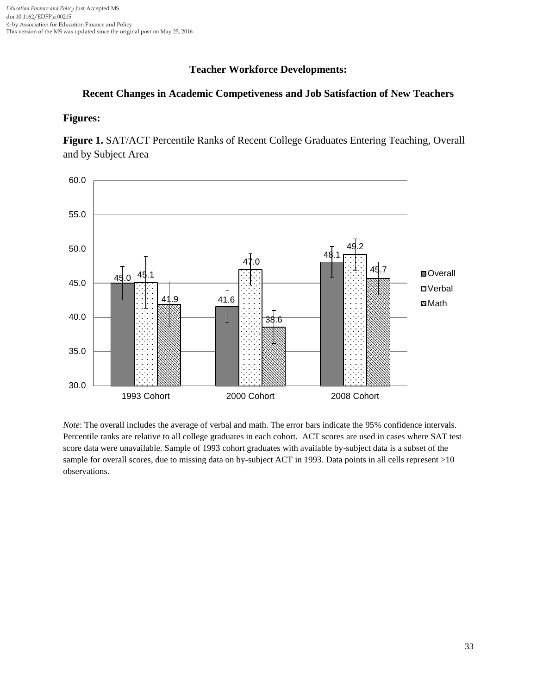## **Teacher Workforce Developments:**

## **Recent Changes in Academic Competiveness and Job Satisfaction of New Teachers**

### **Figures:**

**Figure 1.** SAT/ACT Percentile Ranks of Recent College Graduates Entering Teaching, Overall and by Subject Area



*Note*: The overall includes the average of verbal and math. The error bars indicate the 95% confidence intervals. Percentile ranks are relative to all college graduates in each cohort. ACT scores are used in cases where SAT test score data were unavailable. Sample of 1993 cohort graduates with available by-subject data is a subset of the sample for overall scores, due to missing data on by-subject ACT in 1993. Data points in all cells represent >10 observations.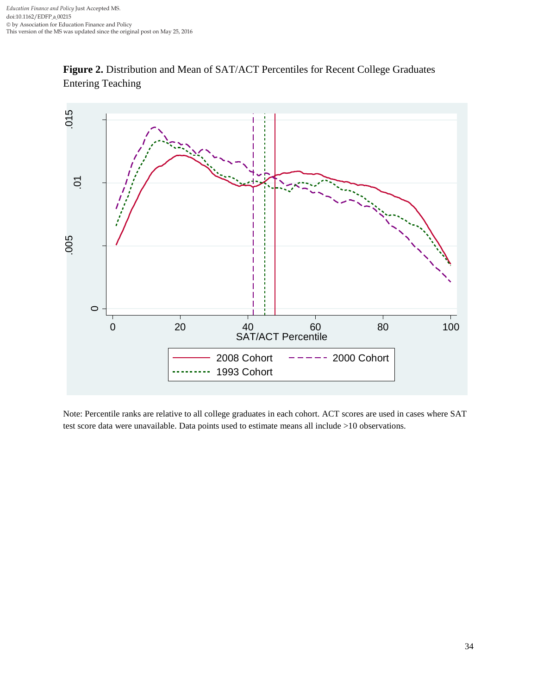

**Figure 2.** Distribution and Mean of SAT/ACT Percentiles for Recent College Graduates Entering Teaching

Note: Percentile ranks are relative to all college graduates in each cohort. ACT scores are used in cases where SAT test score data were unavailable. Data points used to estimate means all include >10 observations.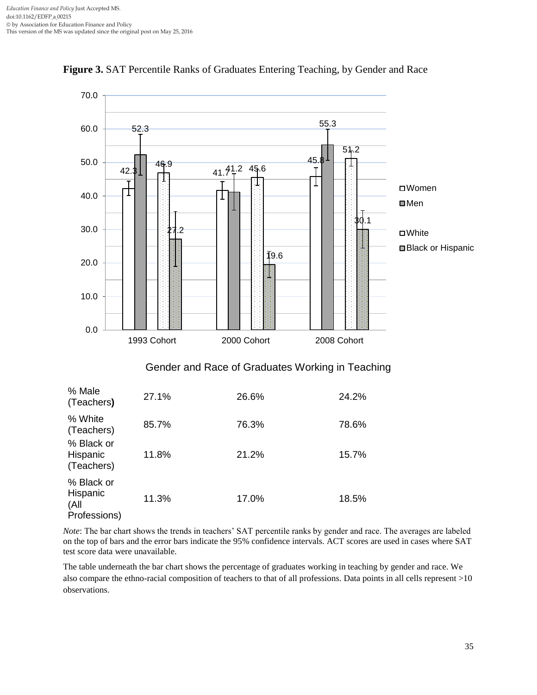

**Figure 3.** SAT Percentile Ranks of Graduates Entering Teaching, by Gender and Race

*Note*: The bar chart shows the trends in teachers' SAT percentile ranks by gender and race. The averages are labeled on the top of bars and the error bars indicate the 95% confidence intervals. ACT scores are used in cases where SAT test score data were unavailable.

The table underneath the bar chart shows the percentage of graduates working in teaching by gender and race. We also compare the ethno-racial composition of teachers to that of all professions. Data points in all cells represent >10 observations.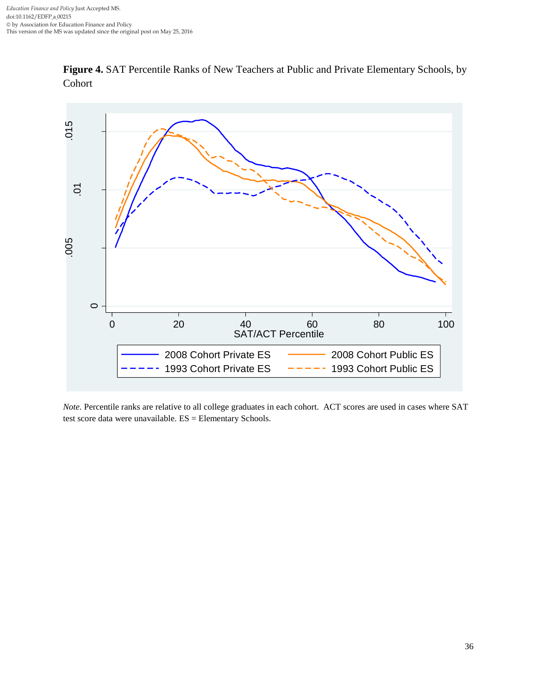

**Figure 4.** SAT Percentile Ranks of New Teachers at Public and Private Elementary Schools, by Cohort

*Note.* Percentile ranks are relative to all college graduates in each cohort. ACT scores are used in cases where SAT test score data were unavailable. ES = Elementary Schools.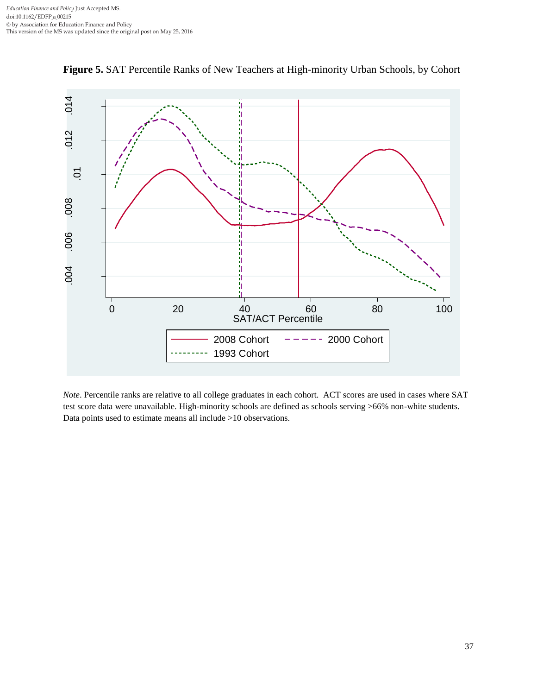

**Figure 5.** SAT Percentile Ranks of New Teachers at High-minority Urban Schools, by Cohort

*Note*. Percentile ranks are relative to all college graduates in each cohort. ACT scores are used in cases where SAT test score data were unavailable. High-minority schools are defined as schools serving >66% non-white students. Data points used to estimate means all include >10 observations.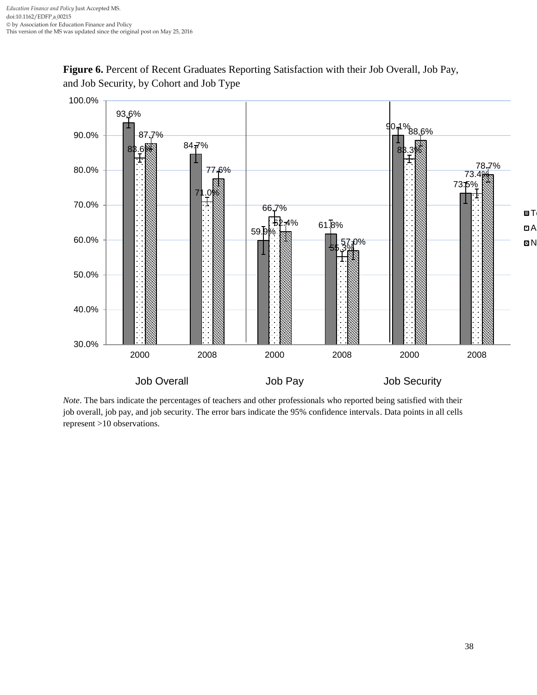



*Note*. The bars indicate the percentages of teachers and other professionals who reported being satisfied with their job overall, job pay, and job security. The error bars indicate the 95% confidence intervals. Data points in all cells represent >10 observations.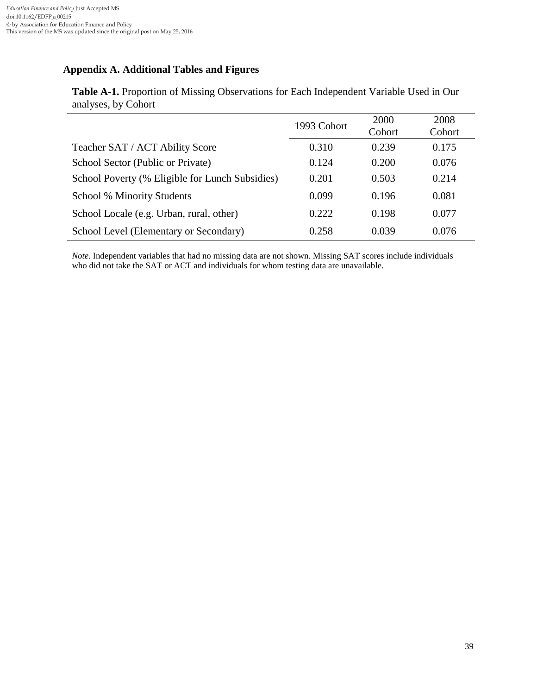## **Appendix A. Additional Tables and Figures**

|                                                 | 1993 Cohort | 2000<br>Cohort | 2008<br>Cohort |
|-------------------------------------------------|-------------|----------------|----------------|
| Teacher SAT / ACT Ability Score                 | 0.310       | 0.239          | 0.175          |
| School Sector (Public or Private)               | 0.124       | 0.200          | 0.076          |
| School Poverty (% Eligible for Lunch Subsidies) | 0.201       | 0.503          | 0.214          |
| <b>School % Minority Students</b>               | 0.099       | 0.196          | 0.081          |
| School Locale (e.g. Urban, rural, other)        | 0.222       | 0.198          | 0.077          |
| School Level (Elementary or Secondary)          | 0.258       | 0.039          | 0.076          |

**Table A-1.** Proportion of Missing Observations for Each Independent Variable Used in Our analyses, by Cohort

*Note*. Independent variables that had no missing data are not shown. Missing SAT scores include individuals who did not take the SAT or ACT and individuals for whom testing data are unavailable.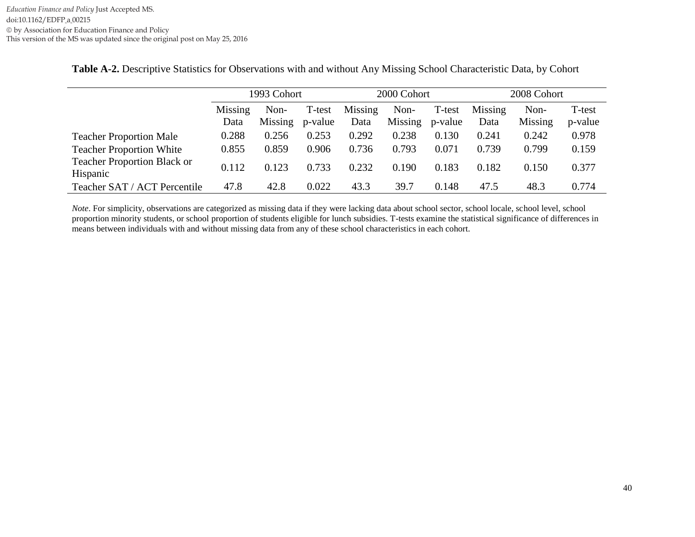|                                                | 1993 Cohort     |                 |                   | 2000 Cohort     |                 |                   | 2008 Cohort     |                 |                   |
|------------------------------------------------|-----------------|-----------------|-------------------|-----------------|-----------------|-------------------|-----------------|-----------------|-------------------|
|                                                | Missing<br>Data | Non-<br>Missing | T-test<br>p-value | Missing<br>Data | Non-<br>Missing | T-test<br>p-value | Missing<br>Data | Non-<br>Missing | T-test<br>p-value |
| <b>Teacher Proportion Male</b>                 | 0.288           | 0.256           | 0.253             | 0.292           | 0.238           | 0.130             | 0.241           | 0.242           | 0.978             |
| <b>Teacher Proportion White</b>                | 0.855           | 0.859           | 0.906             | 0.736           | 0.793           | 0.071             | 0.739           | 0.799           | 0.159             |
| <b>Teacher Proportion Black or</b><br>Hispanic | 0.112           | 0.123           | 0.733             | 0.232           | 0.190           | 0.183             | 0.182           | 0.150           | 0.377             |
| Teacher SAT / ACT Percentile                   | 47.8            | 42.8            | 0.022             | 43.3            | 39.7            | 0.148             | 47.5            | 48.3            | 0.774             |

**Table A-2.** Descriptive Statistics for Observations with and without Any Missing School Characteristic Data, by Cohort

*Note*. For simplicity, observations are categorized as missing data if they were lacking data about school sector, school locale, school level, school proportion minority students, or school proportion of students eligible for lunch subsidies. T-tests examine the statistical significance of differences in means between individuals with and without missing data from any of these school characteristics in each cohort.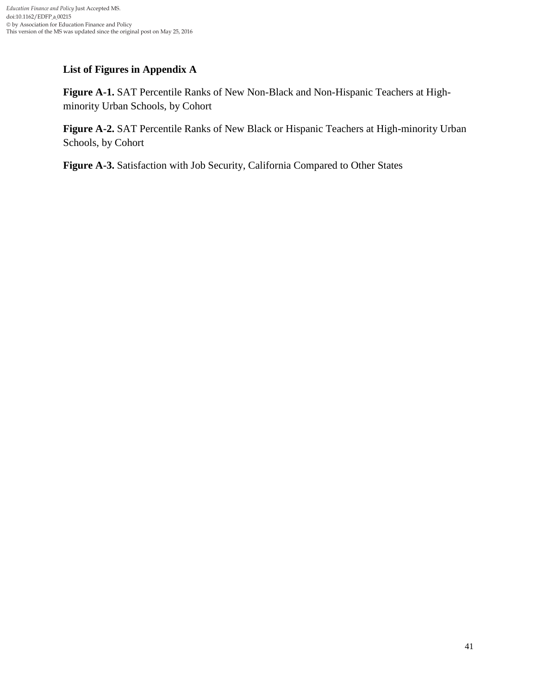## **List of Figures in Appendix A**

**Figure A-1.** SAT Percentile Ranks of New Non-Black and Non-Hispanic Teachers at Highminority Urban Schools, by Cohort

**Figure A-2.** SAT Percentile Ranks of New Black or Hispanic Teachers at High-minority Urban Schools, by Cohort

**Figure A-3.** Satisfaction with Job Security, California Compared to Other States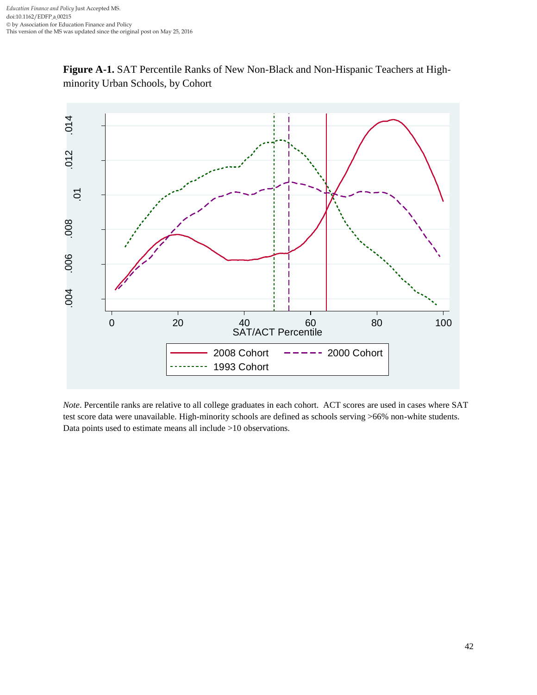



*Note*. Percentile ranks are relative to all college graduates in each cohort. ACT scores are used in cases where SAT test score data were unavailable. High-minority schools are defined as schools serving >66% non-white students. Data points used to estimate means all include >10 observations.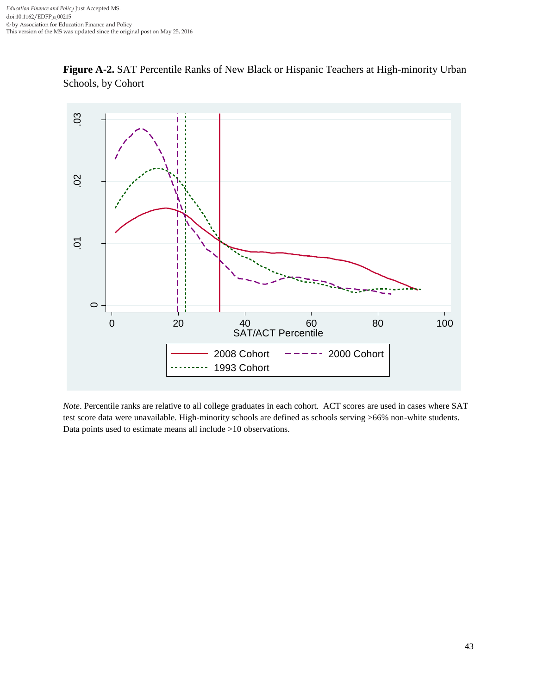



*Note*. Percentile ranks are relative to all college graduates in each cohort. ACT scores are used in cases where SAT test score data were unavailable. High-minority schools are defined as schools serving >66% non-white students. Data points used to estimate means all include >10 observations.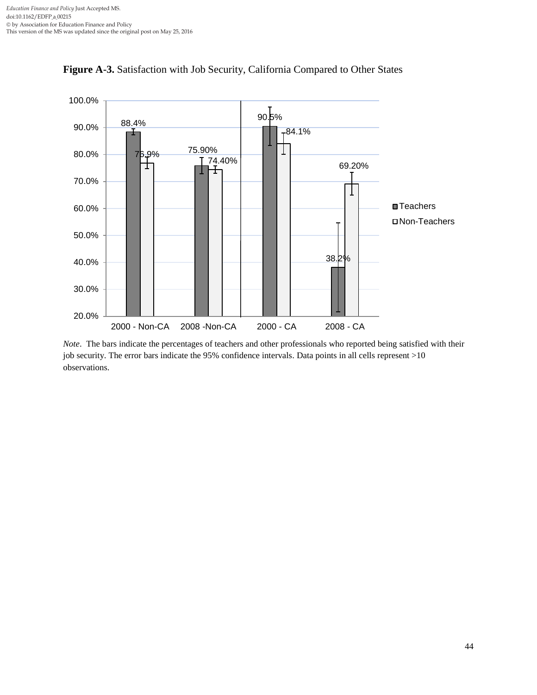

**Figure A-3.** Satisfaction with Job Security, California Compared to Other States

*Note*. The bars indicate the percentages of teachers and other professionals who reported being satisfied with their job security. The error bars indicate the 95% confidence intervals. Data points in all cells represent >10 observations.